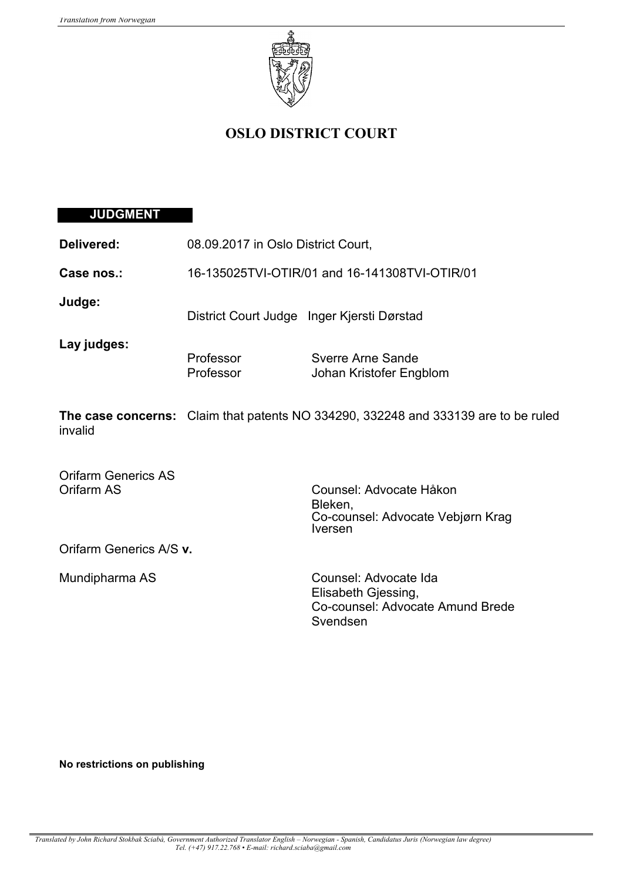

# **OSLO DISTRICT COURT**

# **JUDGMENT**

| Delivered:                               | 08.09.2017 in Oslo District Court,            |                                                                                              |
|------------------------------------------|-----------------------------------------------|----------------------------------------------------------------------------------------------|
| Case nos.:                               | 16-135025TVI-OTIR/01 and 16-141308TVI-OTIR/01 |                                                                                              |
| Judge:                                   | District Court Judge Inger Kjersti Dørstad    |                                                                                              |
| Lay judges:                              | Professor<br>Professor                        | Sverre Arne Sande<br>Johan Kristofer Engblom                                                 |
| invalid                                  |                                               | <b>The case concerns:</b> Claim that patents NO 334290, 332248 and 333139 are to be ruled    |
| <b>Orifarm Generics AS</b><br>Orifarm AS |                                               | Counsel: Advocate Håkon<br>Bleken,<br>Co-counsel: Advocate Vebjørn Krag<br><b>Iversen</b>    |
| Orifarm Generics A/S v.                  |                                               |                                                                                              |
| Mundipharma AS                           |                                               | Counsel: Advocate Ida<br>Elisabeth Gjessing,<br>Co-counsel: Advocate Amund Brede<br>Svendsen |

### **No restrictions on publishing**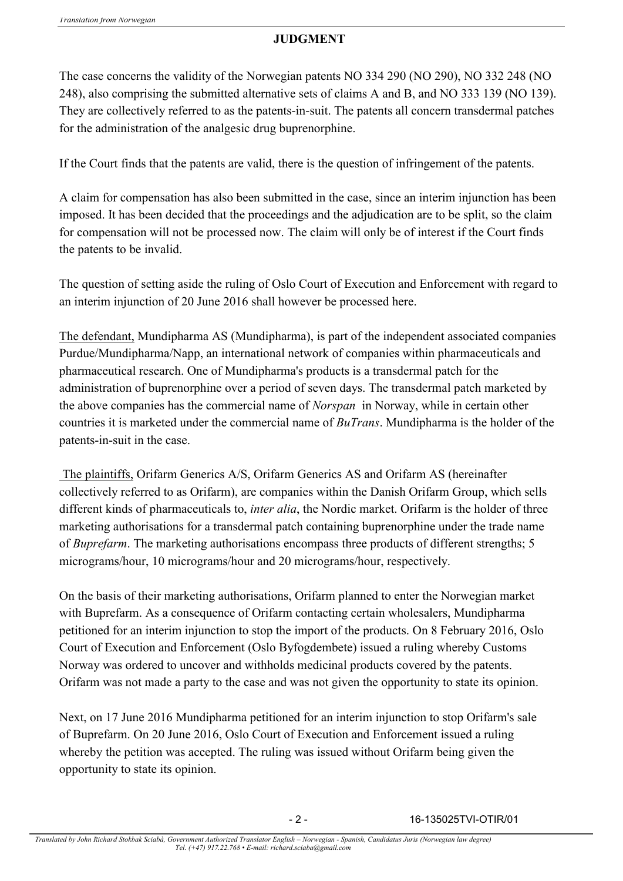# **JUDGMENT**

The case concerns the validity of the Norwegian patents NO 334 290 (NO 290), NO 332 248 (NO 248), also comprising the submitted alternative sets of claims A and B, and NO 333 139 (NO 139). They are collectively referred to as the patents-in-suit. The patents all concern transdermal patches for the administration of the analgesic drug buprenorphine.

If the Court finds that the patents are valid, there is the question of infringement of the patents.

A claim for compensation has also been submitted in the case, since an interim injunction has been imposed. It has been decided that the proceedings and the adjudication are to be split, so the claim for compensation will not be processed now. The claim will only be of interest if the Court finds the patents to be invalid.

The question of setting aside the ruling of Oslo Court of Execution and Enforcement with regard to an interim injunction of 20 June 2016 shall however be processed here.

The defendant, Mundipharma AS (Mundipharma), is part of the independent associated companies Purdue/Mundipharma/Napp, an international network of companies within pharmaceuticals and pharmaceutical research. One of Mundipharma's products is a transdermal patch for the administration of buprenorphine over a period of seven days. The transdermal patch marketed by the above companies has the commercial name of *Norspan* in Norway, while in certain other countries it is marketed under the commercial name of *BuTrans*. Mundipharma is the holder of the patents-in-suit in the case.

The plaintiffs, Orifarm Generics A/S, Orifarm Generics AS and Orifarm AS (hereinafter collectively referred to as Orifarm), are companies within the Danish Orifarm Group, which sells different kinds of pharmaceuticals to, *inter alia*, the Nordic market. Orifarm is the holder of three marketing authorisations for a transdermal patch containing buprenorphine under the trade name of *Buprefarm*. The marketing authorisations encompass three products of different strengths; 5 micrograms/hour, 10 micrograms/hour and 20 micrograms/hour, respectively.

On the basis of their marketing authorisations, Orifarm planned to enter the Norwegian market with Buprefarm. As a consequence of Orifarm contacting certain wholesalers, Mundipharma petitioned for an interim injunction to stop the import of the products. On 8 February 2016, Oslo Court of Execution and Enforcement (Oslo Byfogdembete) issued a ruling whereby Customs Norway was ordered to uncover and withholds medicinal products covered by the patents. Orifarm was not made a party to the case and was not given the opportunity to state its opinion.

Next, on 17 June 2016 Mundipharma petitioned for an interim injunction to stop Orifarm's sale of Buprefarm. On 20 June 2016, Oslo Court of Execution and Enforcement issued a ruling whereby the petition was accepted. The ruling was issued without Orifarm being given the opportunity to state its opinion.

- 2 - 16-135025TVI-OTIR/01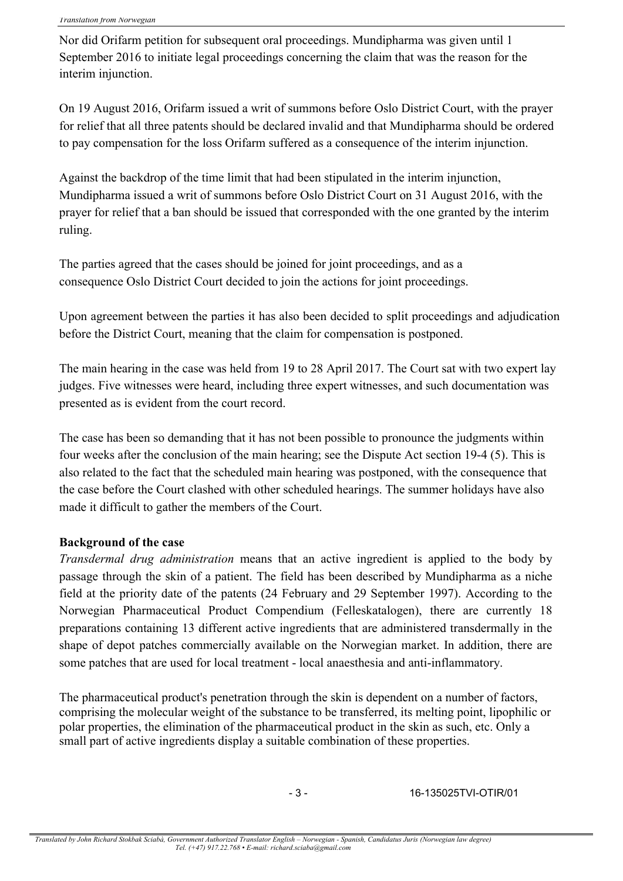Nor did Orifarm petition for subsequent oral proceedings. Mundipharma was given until 1 September 2016 to initiate legal proceedings concerning the claim that was the reason for the interim injunction.

On 19 August 2016, Orifarm issued a writ of summons before Oslo District Court, with the prayer for relief that all three patents should be declared invalid and that Mundipharma should be ordered to pay compensation for the loss Orifarm suffered as a consequence of the interim injunction.

Against the backdrop of the time limit that had been stipulated in the interim injunction, Mundipharma issued a writ of summons before Oslo District Court on 31 August 2016, with the prayer for relief that a ban should be issued that corresponded with the one granted by the interim ruling.

The parties agreed that the cases should be joined for joint proceedings, and as a consequence Oslo District Court decided to join the actions for joint proceedings.

Upon agreement between the parties it has also been decided to split proceedings and adjudication before the District Court, meaning that the claim for compensation is postponed.

The main hearing in the case was held from 19 to 28 April 2017. The Court sat with two expert lay judges. Five witnesses were heard, including three expert witnesses, and such documentation was presented as is evident from the court record.

The case has been so demanding that it has not been possible to pronounce the judgments within four weeks after the conclusion of the main hearing; see the Dispute Act section 19-4 (5). This is also related to the fact that the scheduled main hearing was postponed, with the consequence that the case before the Court clashed with other scheduled hearings. The summer holidays have also made it difficult to gather the members of the Court.

### **Background of the case**

*Transdermal drug administration* means that an active ingredient is applied to the body by passage through the skin of a patient. The field has been described by Mundipharma as a niche field at the priority date of the patents (24 February and 29 September 1997). According to the Norwegian Pharmaceutical Product Compendium (Felleskatalogen), there are currently 18 preparations containing 13 different active ingredients that are administered transdermally in the shape of depot patches commercially available on the Norwegian market. In addition, there are some patches that are used for local treatment - local anaesthesia and anti-inflammatory.

The pharmaceutical product's penetration through the skin is dependent on a number of factors, comprising the molecular weight of the substance to be transferred, its melting point, lipophilic or polar properties, the elimination of the pharmaceutical product in the skin as such, etc. Only a small part of active ingredients display a suitable combination of these properties.

- 3 - 16-135025TVI-OTIR/01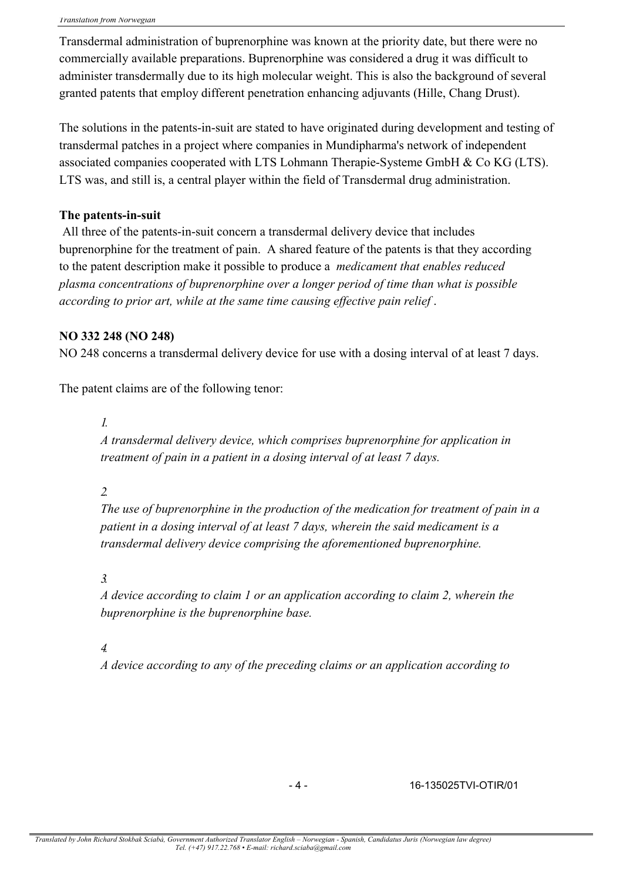Transdermal administration of buprenorphine was known at the priority date, but there were no commercially available preparations. Buprenorphine was considered a drug it was difficult to administer transdermally due to its high molecular weight. This is also the background of several granted patents that employ different penetration enhancing adjuvants (Hille, Chang Drust).

The solutions in the patents-in-suit are stated to have originated during development and testing of transdermal patches in a project where companies in Mundipharma's network of independent associated companies cooperated with LTS Lohmann Therapie-Systeme GmbH & Co KG (LTS). LTS was, and still is, a central player within the field of Transdermal drug administration.

### **The patents-in-suit**

All three of the patents-in-suit concern a transdermal delivery device that includes buprenorphine for the treatment of pain. A shared feature of the patents is that they according to the patent description make it possible to produce a *medicament that enables reduced plasma concentrations of buprenorphine over a longer period of time than what is possible according to prior art, while at the same time causing effective pain relief* .

### **NO 332 248 (NO 248)**

NO 248 concerns a transdermal delivery device for use with a dosing interval of at least 7 days.

The patent claims are of the following tenor:

### *1.*

*A transdermal delivery device, which comprises buprenorphine for application in treatment of pain in a patient in a dosing interval of at least 7 days.*

### *2.*

*The use of buprenorphine in the production of the medication for treatment of pain in a patient in a dosing interval of at least 7 days, wherein the said medicament is a transdermal delivery device comprising the aforementioned buprenorphine.*

### *3.*

*A device according to claim 1 or an application according to claim 2, wherein the buprenorphine is the buprenorphine base.*

### *4.*

*A device according to any of the preceding claims or an application according to*

### - 4 - 16-135025TVI-OTIR/01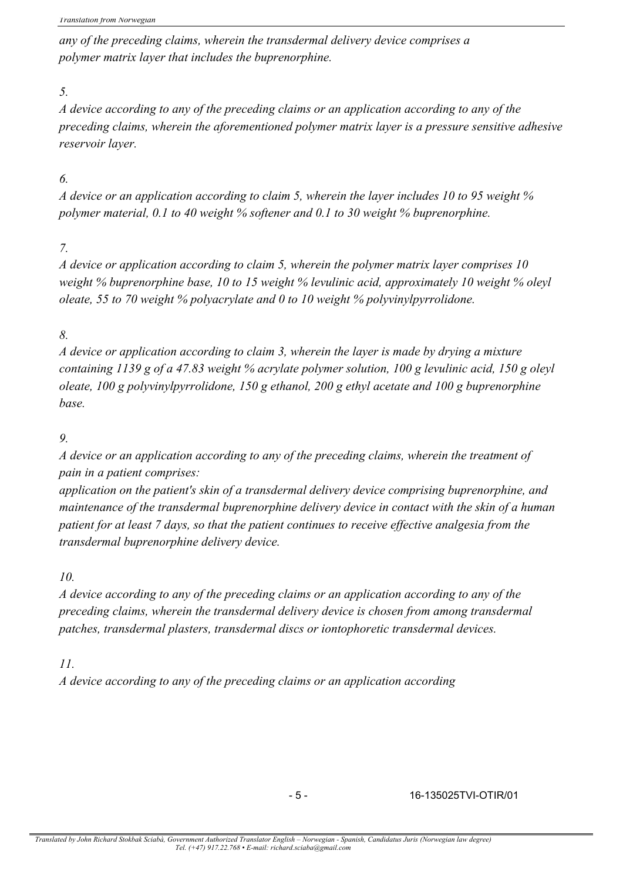*any of the preceding claims, wherein the transdermal delivery device comprises a polymer matrix layer that includes the buprenorphine.*

## *5.*

*A device according to any of the preceding claims or an application according to any of the preceding claims, wherein the aforementioned polymer matrix layer is a pressure sensitive adhesive reservoir layer.*

# *6.*

*A device or an application according to claim 5, wherein the layer includes 10 to 95 weight % polymer material, 0.1 to 40 weight % softener and 0.1 to 30 weight % buprenorphine.*

# *7.*

*A device or application according to claim 5, wherein the polymer matrix layer comprises 10 weight % buprenorphine base, 10 to 15 weight % levulinic acid, approximately 10 weight % oleyl oleate, 55 to 70 weight % polyacrylate and 0 to 10 weight % polyvinylpyrrolidone.*

# *8.*

*A device or application according to claim 3, wherein the layer is made by drying a mixture containing 1139 g of a 47.83 weight % acrylate polymer solution, 100 g levulinic acid, 150 g oleyl oleate, 100 g polyvinylpyrrolidone, 150 g ethanol, 200 g ethyl acetate and 100 g buprenorphine base.*

# *9.*

*A device or an application according to any of the preceding claims, wherein the treatment of pain in a patient comprises:*

*application on the patient's skin of a transdermal delivery device comprising buprenorphine, and maintenance of the transdermal buprenorphine delivery device in contact with the skin of a human patient for at least 7 days, so that the patient continues to receive effective analgesia from the transdermal buprenorphine delivery device.*

# *10.*

*A device according to any of the preceding claims or an application according to any of the preceding claims, wherein the transdermal delivery device is chosen from among transdermal patches, transdermal plasters, transdermal discs or iontophoretic transdermal devices.*

# *11.*

*A device according to any of the preceding claims or an application according*

- 5 - 16-135025TVI-OTIR/01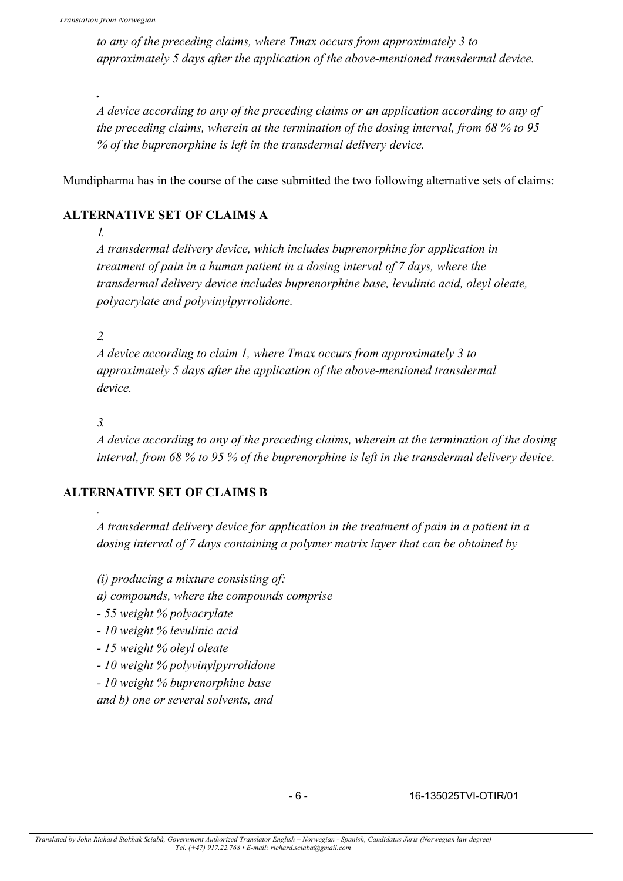*.*

*to any of the preceding claims, where Tmax occurs from approximately 3 to approximately 5 days after the application of the above-mentioned transdermal device.*

*A device according to any of the preceding claims or an application according to any of the preceding claims, wherein at the termination of the dosing interval, from 68 % to 95 % of the buprenorphine is left in the transdermal delivery device.*

Mundipharma has in the course of the case submitted the two following alternative sets of claims:

### **ALTERNATIVE SET OF CLAIMS A**

*1.*

*A transdermal delivery device, which includes buprenorphine for application in treatment of pain in a human patient in a dosing interval of 7 days, where the transdermal delivery device includes buprenorphine base, levulinic acid, oleyl oleate, polyacrylate and polyvinylpyrrolidone.*

*2.*

*A device according to claim 1, where Tmax occurs from approximately 3 to approximately 5 days after the application of the above-mentioned transdermal device.*

*3.*

*.*

*A device according to any of the preceding claims, wherein at the termination of the dosing interval, from 68 % to 95 % of the buprenorphine is left in the transdermal delivery device.*

### **ALTERNATIVE SET OF CLAIMS B**

*A transdermal delivery device for application in the treatment of pain in a patient in a dosing interval of 7 days containing a polymer matrix layer that can be obtained by*

*(i) producing a mixture consisting of:*

*a) compounds, where the compounds comprise*

*- 55 weight % polyacrylate*

*- 10 weight % levulinic acid*

*- 15 weight % oleyl oleate*

*- 10 weight % polyvinylpyrrolidone*

*- 10 weight % buprenorphine base*

*and b) one or several solvents, and*

- 6 - 16-135025TVI-OTIR/01

*Translated by John Richard Stokbak Sciabà, Government Authorized Translator English – Norwegian - Spanish, Candidatus Juris (Norwegian law degree) Tel. (+47) 917.22.768 • E-mail: richard.sciaba@gmail.com*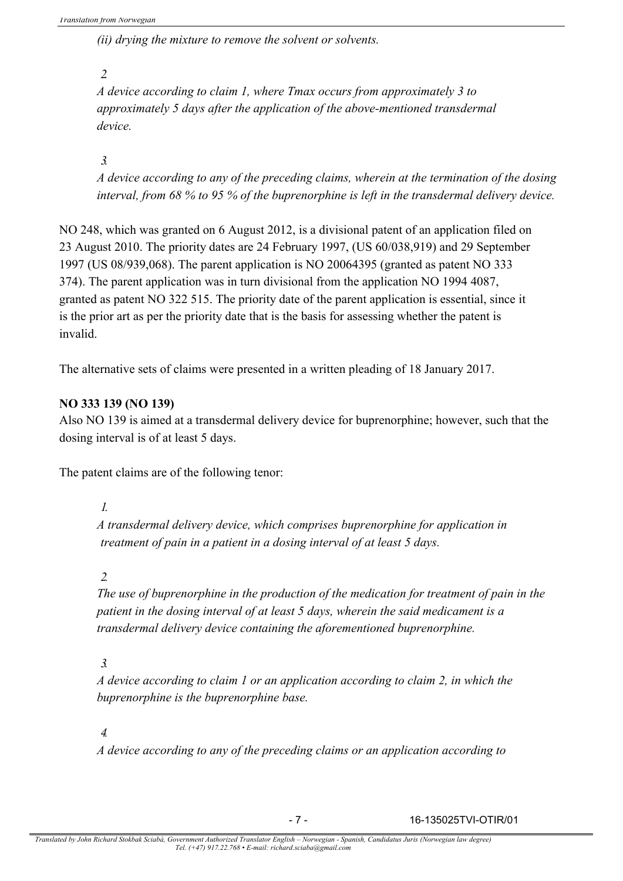*(ii) drying the mixture to remove the solvent or solvents.*

*2.*

*A device according to claim 1, where Tmax occurs from approximately 3 to approximately 5 days after the application of the above-mentioned transdermal device.*

*3.*

*A device according to any of the preceding claims, wherein at the termination of the dosing interval, from 68 % to 95 % of the buprenorphine is left in the transdermal delivery device.*

NO 248, which was granted on 6 August 2012, is a divisional patent of an application filed on 23 August 2010. The priority dates are 24 February 1997, (US 60/038,919) and 29 September 1997 (US 08/939,068). The parent application is NO 20064395 (granted as patent NO 333 374). The parent application was in turn divisional from the application NO 1994 4087, granted as patent NO 322 515. The priority date of the parent application is essential, since it is the prior art as per the priority date that is the basis for assessing whether the patent is invalid.

The alternative sets of claims were presented in a written pleading of 18 January 2017.

# **NO 333 139 (NO 139)**

Also NO 139 is aimed at a transdermal delivery device for buprenorphine; however, such that the dosing interval is of at least 5 days.

The patent claims are of the following tenor:

*1.*

*A transdermal delivery device, which comprises buprenorphine for application in treatment of pain in a patient in a dosing interval of at least 5 days.*

### *2.*

*The use of buprenorphine in the production of the medication for treatment of pain in the patient in the dosing interval of at least 5 days, wherein the said medicament is a transdermal delivery device containing the aforementioned buprenorphine.*

# *3.*

*A device according to claim 1 or an application according to claim 2, in which the buprenorphine is the buprenorphine base.*

# *4.*

*A device according to any of the preceding claims or an application according to* 

- 7 - 16-135025TVI-OTIR/01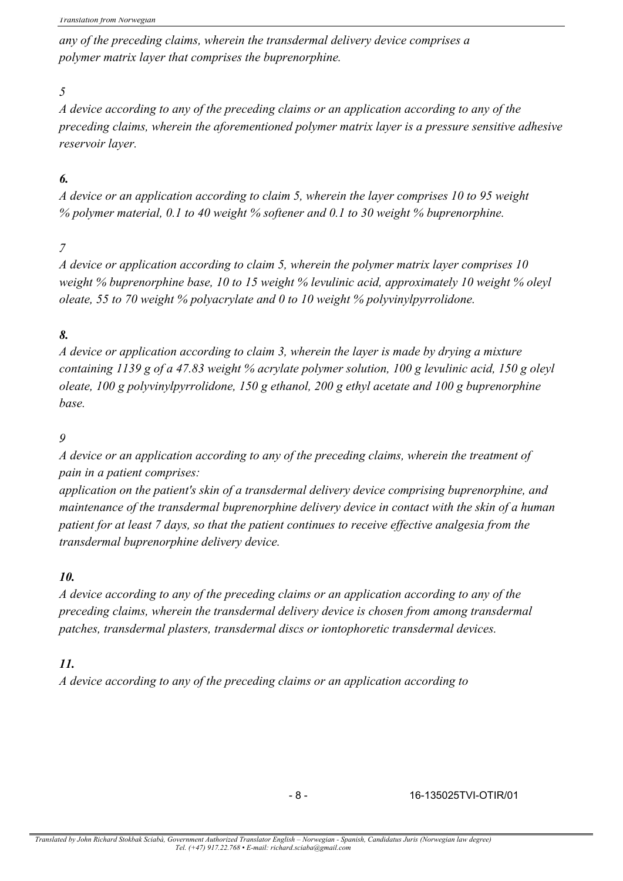*any of the preceding claims, wherein the transdermal delivery device comprises a polymer matrix layer that comprises the buprenorphine.*

## *5.*

*A device according to any of the preceding claims or an application according to any of the preceding claims, wherein the aforementioned polymer matrix layer is a pressure sensitive adhesive reservoir layer.*

# *6.*

*A device or an application according to claim 5, wherein the layer comprises 10 to 95 weight % polymer material, 0.1 to 40 weight % softener and 0.1 to 30 weight % buprenorphine.*

# *7.*

*A device or application according to claim 5, wherein the polymer matrix layer comprises 10 weight % buprenorphine base, 10 to 15 weight % levulinic acid, approximately 10 weight % oleyl oleate, 55 to 70 weight % polyacrylate and 0 to 10 weight % polyvinylpyrrolidone.*

# *8.*

*A device or application according to claim 3, wherein the layer is made by drying a mixture containing 1139 g of a 47.83 weight % acrylate polymer solution, 100 g levulinic acid, 150 g oleyl oleate, 100 g polyvinylpyrrolidone, 150 g ethanol, 200 g ethyl acetate and 100 g buprenorphine base.*

# *9.*

*A device or an application according to any of the preceding claims, wherein the treatment of pain in a patient comprises:*

*application on the patient's skin of a transdermal delivery device comprising buprenorphine, and maintenance of the transdermal buprenorphine delivery device in contact with the skin of a human patient for at least 7 days, so that the patient continues to receive effective analgesia from the transdermal buprenorphine delivery device.*

### *10.*

*A device according to any of the preceding claims or an application according to any of the preceding claims, wherein the transdermal delivery device is chosen from among transdermal patches, transdermal plasters, transdermal discs or iontophoretic transdermal devices.*

### *11.*

*A device according to any of the preceding claims or an application according to*

- 8 - 16-135025TVI-OTIR/01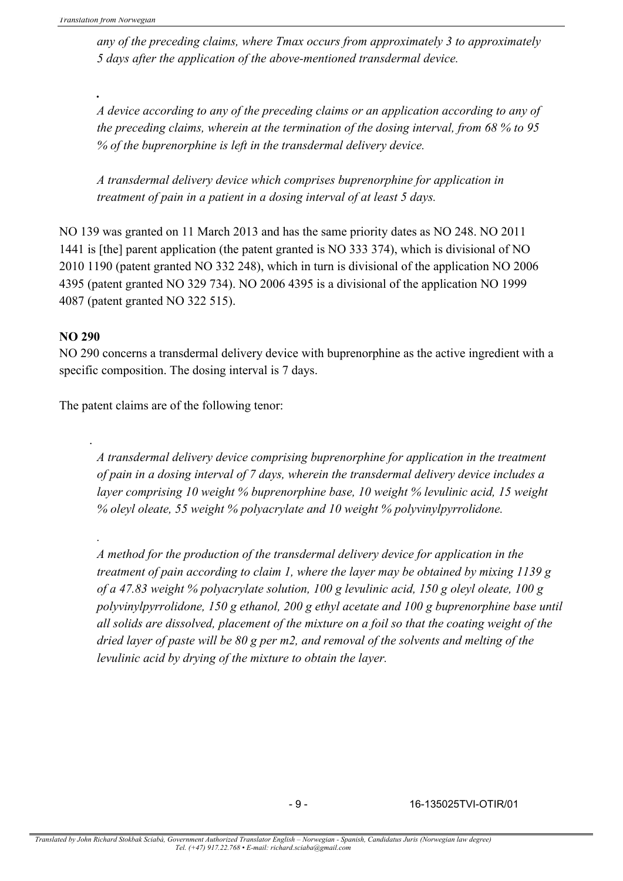*.*

*any of the preceding claims, where Tmax occurs from approximately 3 to approximately 5 days after the application of the above-mentioned transdermal device.*

*A device according to any of the preceding claims or an application according to any of the preceding claims, wherein at the termination of the dosing interval, from 68 % to 95 % of the buprenorphine is left in the transdermal delivery device.*

*A transdermal delivery device which comprises buprenorphine for application in treatment of pain in a patient in a dosing interval of at least 5 days.*

NO 139 was granted on 11 March 2013 and has the same priority dates as NO 248. NO 2011 1441 is [the] parent application (the patent granted is NO 333 374), which is divisional of NO 2010 1190 (patent granted NO 332 248), which in turn is divisional of the application NO 2006 4395 (patent granted NO 329 734). NO 2006 4395 is a divisional of the application NO 1999 4087 (patent granted NO 322 515).

### **NO 290**

.

*.*

NO 290 concerns a transdermal delivery device with buprenorphine as the active ingredient with a specific composition. The dosing interval is 7 days.

The patent claims are of the following tenor:

*A transdermal delivery device comprising buprenorphine for application in the treatment of pain in a dosing interval of 7 days, wherein the transdermal delivery device includes a layer comprising 10 weight % buprenorphine base, 10 weight % levulinic acid, 15 weight % oleyl oleate, 55 weight % polyacrylate and 10 weight % polyvinylpyrrolidone.*

*A method for the production of the transdermal delivery device for application in the treatment of pain according to claim 1, where the layer may be obtained by mixing 1139 g of a 47.83 weight % polyacrylate solution, 100 g levulinic acid, 150 g oleyl oleate, 100 g polyvinylpyrrolidone, 150 g ethanol, 200 g ethyl acetate and 100 g buprenorphine base until all solids are dissolved, placement of the mixture on a foil so that the coating weight of the dried layer of paste will be 80 g per m2, and removal of the solvents and melting of the levulinic acid by drying of the mixture to obtain the layer.*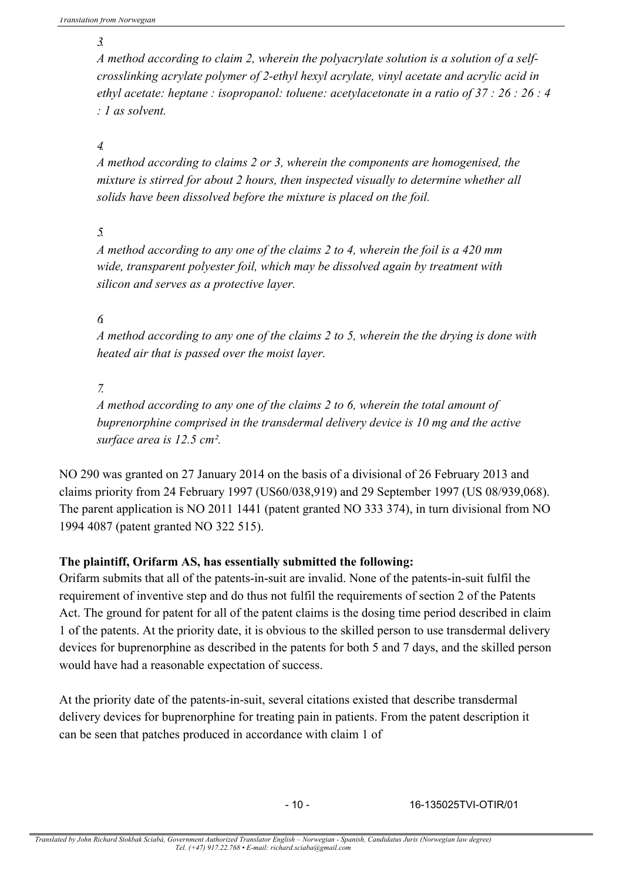*3.*

*A method according to claim 2, wherein the polyacrylate solution is a solution of a selfcrosslinking acrylate polymer of 2-ethyl hexyl acrylate, vinyl acetate and acrylic acid in ethyl acetate: heptane : isopropanol: toluene: acetylacetonate in a ratio of 37 : 26 : 26 : 4 : 1 as solvent.*

*4.*

*A method according to claims 2 or 3, wherein the components are homogenised, the mixture is stirred for about 2 hours, then inspected visually to determine whether all solids have been dissolved before the mixture is placed on the foil.*

*5.*

*A method according to any one of the claims 2 to 4, wherein the foil is a 420 mm wide, transparent polyester foil, which may be dissolved again by treatment with silicon and serves as a protective layer.*

*6.*

*A method according to any one of the claims 2 to 5, wherein the the drying is done with heated air that is passed over the moist layer.*

*7.*

*A method according to any one of the claims 2 to 6, wherein the total amount of buprenorphine comprised in the transdermal delivery device is 10 mg and the active surface area is 12.5 cm².*

NO 290 was granted on 27 January 2014 on the basis of a divisional of 26 February 2013 and claims priority from 24 February 1997 (US60/038,919) and 29 September 1997 (US 08/939,068). The parent application is NO 2011 1441 (patent granted NO 333 374), in turn divisional from NO 1994 4087 (patent granted NO 322 515).

### **The plaintiff, Orifarm AS, has essentially submitted the following:**

Orifarm submits that all of the patents-in-suit are invalid. None of the patents-in-suit fulfil the requirement of inventive step and do thus not fulfil the requirements of section 2 of the Patents Act. The ground for patent for all of the patent claims is the dosing time period described in claim 1 of the patents. At the priority date, it is obvious to the skilled person to use transdermal delivery devices for buprenorphine as described in the patents for both 5 and 7 days, and the skilled person would have had a reasonable expectation of success.

At the priority date of the patents-in-suit, several citations existed that describe transdermal delivery devices for buprenorphine for treating pain in patients. From the patent description it can be seen that patches produced in accordance with claim 1 of

- 10 - 16-135025TVI-OTIR/01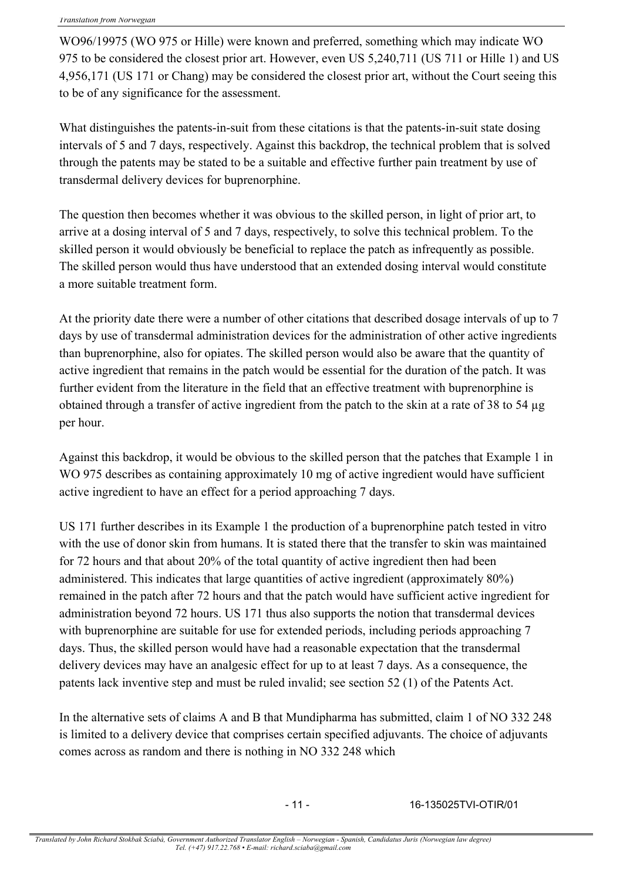WO96/19975 (WO 975 or Hille) were known and preferred, something which may indicate WO 975 to be considered the closest prior art. However, even US 5,240,711 (US 711 or Hille 1) and US 4,956,171 (US 171 or Chang) may be considered the closest prior art, without the Court seeing this to be of any significance for the assessment.

What distinguishes the patents-in-suit from these citations is that the patents-in-suit state dosing intervals of 5 and 7 days, respectively. Against this backdrop, the technical problem that is solved through the patents may be stated to be a suitable and effective further pain treatment by use of transdermal delivery devices for buprenorphine.

The question then becomes whether it was obvious to the skilled person, in light of prior art, to arrive at a dosing interval of 5 and 7 days, respectively, to solve this technical problem. To the skilled person it would obviously be beneficial to replace the patch as infrequently as possible. The skilled person would thus have understood that an extended dosing interval would constitute a more suitable treatment form.

At the priority date there were a number of other citations that described dosage intervals of up to 7 days by use of transdermal administration devices for the administration of other active ingredients than buprenorphine, also for opiates. The skilled person would also be aware that the quantity of active ingredient that remains in the patch would be essential for the duration of the patch. It was further evident from the literature in the field that an effective treatment with buprenorphine is obtained through a transfer of active ingredient from the patch to the skin at a rate of 38 to 54 µg per hour.

Against this backdrop, it would be obvious to the skilled person that the patches that Example 1 in WO 975 describes as containing approximately 10 mg of active ingredient would have sufficient active ingredient to have an effect for a period approaching 7 days.

US 171 further describes in its Example 1 the production of a buprenorphine patch tested in vitro with the use of donor skin from humans. It is stated there that the transfer to skin was maintained for 72 hours and that about 20% of the total quantity of active ingredient then had been administered. This indicates that large quantities of active ingredient (approximately 80%) remained in the patch after 72 hours and that the patch would have sufficient active ingredient for administration beyond 72 hours. US 171 thus also supports the notion that transdermal devices with buprenorphine are suitable for use for extended periods, including periods approaching 7 days. Thus, the skilled person would have had a reasonable expectation that the transdermal delivery devices may have an analgesic effect for up to at least 7 days. As a consequence, the patents lack inventive step and must be ruled invalid; see section 52 (1) of the Patents Act.

In the alternative sets of claims A and B that Mundipharma has submitted, claim 1 of NO 332 248 is limited to a delivery device that comprises certain specified adjuvants. The choice of adjuvants comes across as random and there is nothing in NO 332 248 which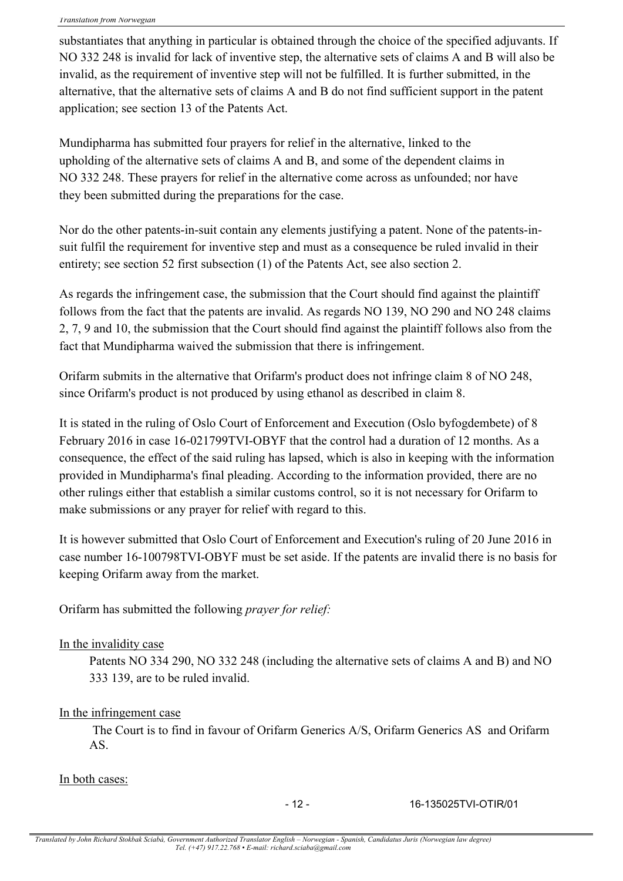substantiates that anything in particular is obtained through the choice of the specified adjuvants. If NO 332 248 is invalid for lack of inventive step, the alternative sets of claims A and B will also be invalid, as the requirement of inventive step will not be fulfilled. It is further submitted, in the alternative, that the alternative sets of claims A and B do not find sufficient support in the patent application; see section 13 of the Patents Act.

Mundipharma has submitted four prayers for relief in the alternative, linked to the upholding of the alternative sets of claims A and B, and some of the dependent claims in NO 332 248. These prayers for relief in the alternative come across as unfounded; nor have they been submitted during the preparations for the case.

Nor do the other patents-in-suit contain any elements justifying a patent. None of the patents-insuit fulfil the requirement for inventive step and must as a consequence be ruled invalid in their entirety; see section 52 first subsection (1) of the Patents Act, see also section 2.

As regards the infringement case, the submission that the Court should find against the plaintiff follows from the fact that the patents are invalid. As regards NO 139, NO 290 and NO 248 claims 2, 7, 9 and 10, the submission that the Court should find against the plaintiff follows also from the fact that Mundipharma waived the submission that there is infringement.

Orifarm submits in the alternative that Orifarm's product does not infringe claim 8 of NO 248, since Orifarm's product is not produced by using ethanol as described in claim 8.

It is stated in the ruling of Oslo Court of Enforcement and Execution (Oslo byfogdembete) of 8 February 2016 in case 16-021799TVI-OBYF that the control had a duration of 12 months. As a consequence, the effect of the said ruling has lapsed, which is also in keeping with the information provided in Mundipharma's final pleading. According to the information provided, there are no other rulings either that establish a similar customs control, so it is not necessary for Orifarm to make submissions or any prayer for relief with regard to this.

It is however submitted that Oslo Court of Enforcement and Execution's ruling of 20 June 2016 in case number 16-100798TVI-OBYF must be set aside. If the patents are invalid there is no basis for keeping Orifarm away from the market.

Orifarm has submitted the following *prayer for relief:*

### In the invalidity case

Patents NO 334 290, NO 332 248 (including the alternative sets of claims A and B) and NO 333 139, are to be ruled invalid.

### In the infringement case

The Court is to find in favour of Orifarm Generics A/S, Orifarm Generics AS and Orifarm AS.

### In both cases:

- 12 - 16-135025TVI-OTIR/01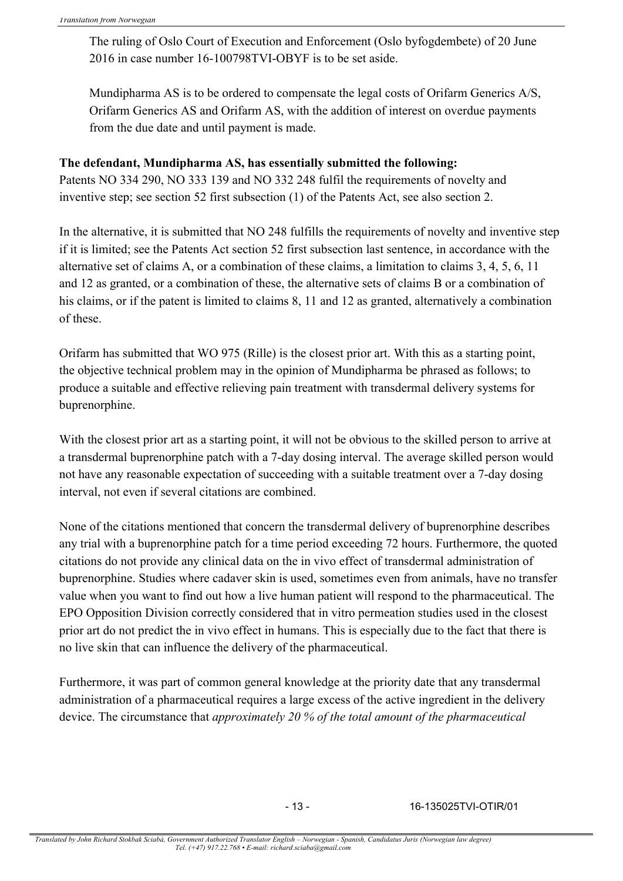The ruling of Oslo Court of Execution and Enforcement (Oslo byfogdembete) of 20 June 2016 in case number 16-100798TVI-OBYF is to be set aside.

Mundipharma AS is to be ordered to compensate the legal costs of Orifarm Generics A/S, Orifarm Generics AS and Orifarm AS, with the addition of interest on overdue payments from the due date and until payment is made.

### **The defendant, Mundipharma AS, has essentially submitted the following:**

Patents NO 334 290, NO 333 139 and NO 332 248 fulfil the requirements of novelty and inventive step; see section 52 first subsection (1) of the Patents Act, see also section 2.

In the alternative, it is submitted that NO 248 fulfills the requirements of novelty and inventive step if it is limited; see the Patents Act section 52 first subsection last sentence, in accordance with the alternative set of claims A, or a combination of these claims, a limitation to claims 3, 4, 5, 6, 11 and 12 as granted, or a combination of these, the alternative sets of claims B or a combination of his claims, or if the patent is limited to claims 8, 11 and 12 as granted, alternatively a combination of these.

Orifarm has submitted that WO 975 (Rille) is the closest prior art. With this as a starting point, the objective technical problem may in the opinion of Mundipharma be phrased as follows; to produce a suitable and effective relieving pain treatment with transdermal delivery systems for buprenorphine.

With the closest prior art as a starting point, it will not be obvious to the skilled person to arrive at a transdermal buprenorphine patch with a 7-day dosing interval. The average skilled person would not have any reasonable expectation of succeeding with a suitable treatment over a 7-day dosing interval, not even if several citations are combined.

None of the citations mentioned that concern the transdermal delivery of buprenorphine describes any trial with a buprenorphine patch for a time period exceeding 72 hours. Furthermore, the quoted citations do not provide any clinical data on the in vivo effect of transdermal administration of buprenorphine. Studies where cadaver skin is used, sometimes even from animals, have no transfer value when you want to find out how a live human patient will respond to the pharmaceutical. The EPO Opposition Division correctly considered that in vitro permeation studies used in the closest prior art do not predict the in vivo effect in humans. This is especially due to the fact that there is no live skin that can influence the delivery of the pharmaceutical.

Furthermore, it was part of common general knowledge at the priority date that any transdermal administration of a pharmaceutical requires a large excess of the active ingredient in the delivery device. The circumstance that *approximately 20 % of the total amount of the pharmaceutical*

- 13 - 16-135025TVI-OTIR/01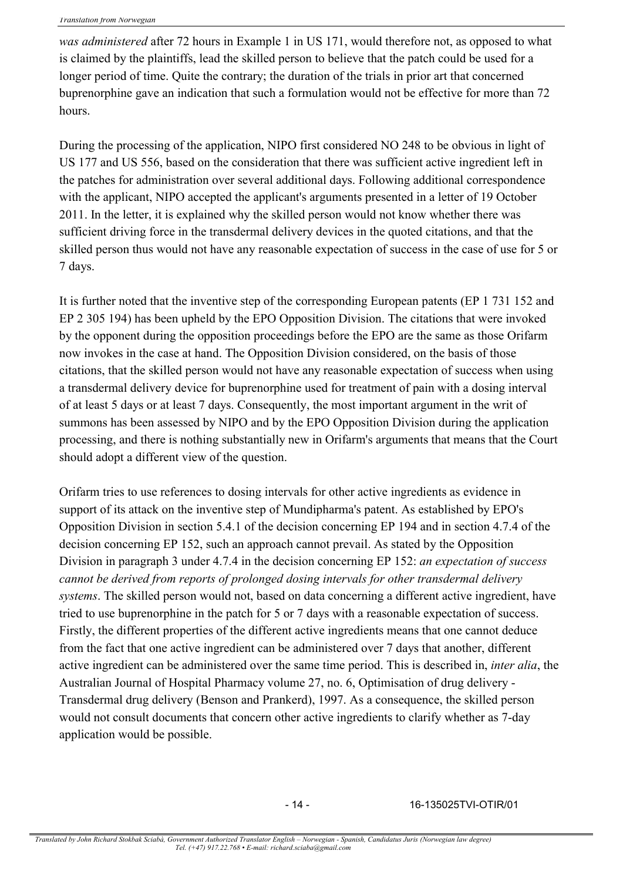*was administered* after 72 hours in Example 1 in US 171, would therefore not, as opposed to what is claimed by the plaintiffs, lead the skilled person to believe that the patch could be used for a longer period of time. Quite the contrary; the duration of the trials in prior art that concerned buprenorphine gave an indication that such a formulation would not be effective for more than 72 hours.

During the processing of the application, NIPO first considered NO 248 to be obvious in light of US 177 and US 556, based on the consideration that there was sufficient active ingredient left in the patches for administration over several additional days. Following additional correspondence with the applicant, NIPO accepted the applicant's arguments presented in a letter of 19 October 2011. In the letter, it is explained why the skilled person would not know whether there was sufficient driving force in the transdermal delivery devices in the quoted citations, and that the skilled person thus would not have any reasonable expectation of success in the case of use for 5 or 7 days.

It is further noted that the inventive step of the corresponding European patents (EP 1 731 152 and EP 2 305 194) has been upheld by the EPO Opposition Division. The citations that were invoked by the opponent during the opposition proceedings before the EPO are the same as those Orifarm now invokes in the case at hand. The Opposition Division considered, on the basis of those citations, that the skilled person would not have any reasonable expectation of success when using a transdermal delivery device for buprenorphine used for treatment of pain with a dosing interval of at least 5 days or at least 7 days. Consequently, the most important argument in the writ of summons has been assessed by NIPO and by the EPO Opposition Division during the application processing, and there is nothing substantially new in Orifarm's arguments that means that the Court should adopt a different view of the question.

Orifarm tries to use references to dosing intervals for other active ingredients as evidence in support of its attack on the inventive step of Mundipharma's patent. As established by EPO's Opposition Division in section 5.4.1 of the decision concerning EP 194 and in section 4.7.4 of the decision concerning EP 152, such an approach cannot prevail. As stated by the Opposition Division in paragraph 3 under 4.7.4 in the decision concerning EP 152: *an expectation of success cannot be derived from reports of prolonged dosing intervals for other transdermal delivery systems*. The skilled person would not, based on data concerning a different active ingredient, have tried to use buprenorphine in the patch for 5 or 7 days with a reasonable expectation of success. Firstly, the different properties of the different active ingredients means that one cannot deduce from the fact that one active ingredient can be administered over 7 days that another, different active ingredient can be administered over the same time period. This is described in, *inter alia*, the Australian Journal of Hospital Pharmacy volume 27, no. 6, Optimisation of drug delivery - Transdermal drug delivery (Benson and Prankerd), 1997. As a consequence, the skilled person would not consult documents that concern other active ingredients to clarify whether as 7-day application would be possible.

- 14 - 16-135025TVI-OTIR/01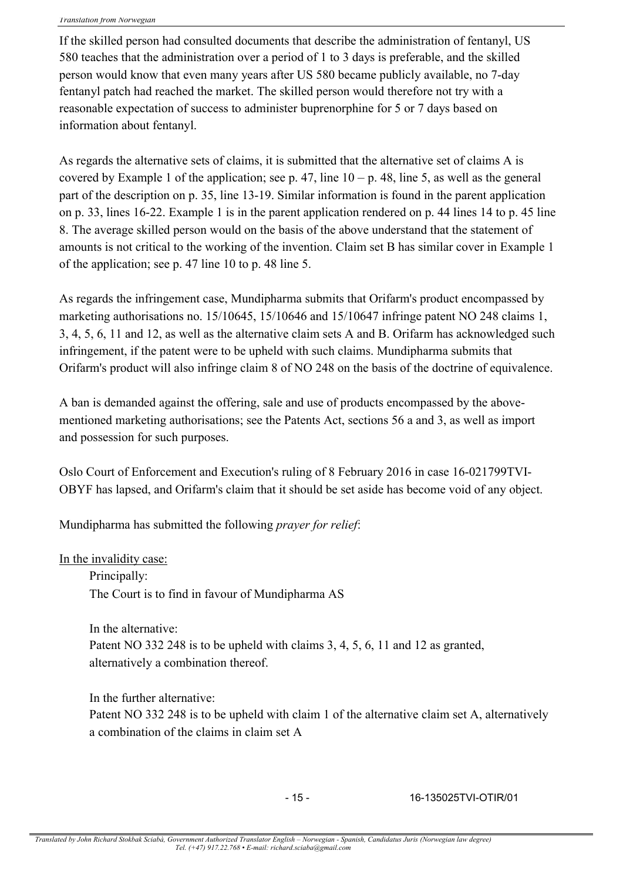If the skilled person had consulted documents that describe the administration of fentanyl, US 580 teaches that the administration over a period of 1 to 3 days is preferable, and the skilled person would know that even many years after US 580 became publicly available, no 7-day fentanyl patch had reached the market. The skilled person would therefore not try with a reasonable expectation of success to administer buprenorphine for 5 or 7 days based on information about fentanyl.

As regards the alternative sets of claims, it is submitted that the alternative set of claims A is covered by Example 1 of the application; see p. 47, line  $10 - p$ . 48, line 5, as well as the general part of the description on p. 35, line 13-19. Similar information is found in the parent application on p. 33, lines 16-22. Example 1 is in the parent application rendered on p. 44 lines 14 to p. 45 line 8. The average skilled person would on the basis of the above understand that the statement of amounts is not critical to the working of the invention. Claim set B has similar cover in Example 1 of the application; see p. 47 line 10 to p. 48 line 5.

As regards the infringement case, Mundipharma submits that Orifarm's product encompassed by marketing authorisations no. 15/10645, 15/10646 and 15/10647 infringe patent NO 248 claims 1, 3, 4, 5, 6, 11 and 12, as well as the alternative claim sets A and B. Orifarm has acknowledged such infringement, if the patent were to be upheld with such claims. Mundipharma submits that Orifarm's product will also infringe claim 8 of NO 248 on the basis of the doctrine of equivalence.

A ban is demanded against the offering, sale and use of products encompassed by the abovementioned marketing authorisations; see the Patents Act, sections 56 a and 3, as well as import and possession for such purposes.

Oslo Court of Enforcement and Execution's ruling of 8 February 2016 in case 16-021799TVI-OBYF has lapsed, and Orifarm's claim that it should be set aside has become void of any object.

Mundipharma has submitted the following *prayer for relief*:

### In the invalidity case:

Principally: The Court is to find in favour of Mundipharma AS

In the alternative: Patent NO 332 248 is to be upheld with claims 3, 4, 5, 6, 11 and 12 as granted, alternatively a combination thereof.

In the further alternative: Patent NO 332 248 is to be upheld with claim 1 of the alternative claim set A, alternatively a combination of the claims in claim set A

- 15 - 16-135025TVI-OTIR/01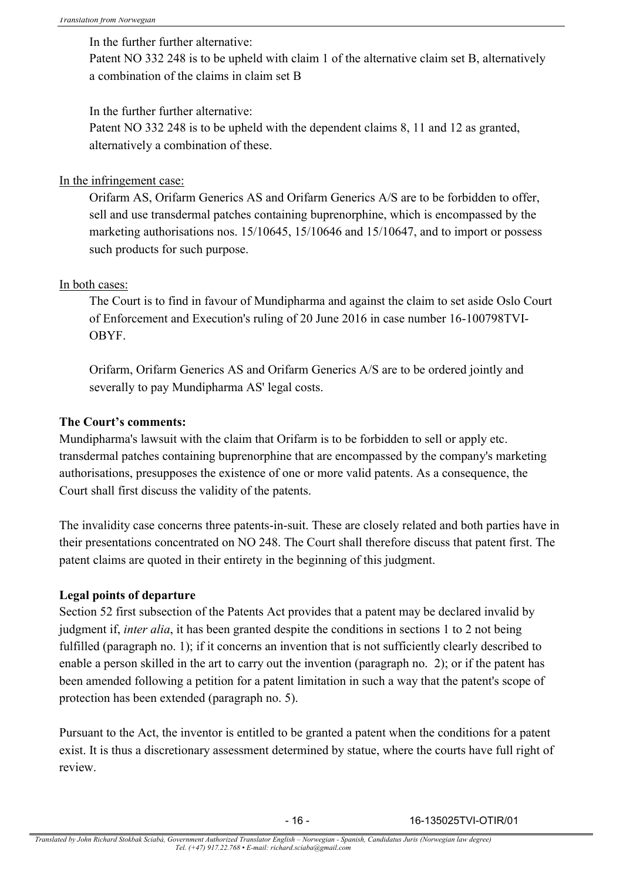In the further further alternative:

Patent NO 332 248 is to be upheld with claim 1 of the alternative claim set B, alternatively a combination of the claims in claim set B

In the further further alternative:

Patent NO 332 248 is to be upheld with the dependent claims 8, 11 and 12 as granted, alternatively a combination of these.

### In the infringement case:

Orifarm AS, Orifarm Generics AS and Orifarm Generics A/S are to be forbidden to offer, sell and use transdermal patches containing buprenorphine, which is encompassed by the marketing authorisations nos. 15/10645, 15/10646 and 15/10647, and to import or possess such products for such purpose.

### In both cases:

The Court is to find in favour of Mundipharma and against the claim to set aside Oslo Court of Enforcement and Execution's ruling of 20 June 2016 in case number 16-100798TVI-OBYF.

Orifarm, Orifarm Generics AS and Orifarm Generics A/S are to be ordered jointly and severally to pay Mundipharma AS' legal costs.

### **The Court's comments:**

Mundipharma's lawsuit with the claim that Orifarm is to be forbidden to sell or apply etc. transdermal patches containing buprenorphine that are encompassed by the company's marketing authorisations, presupposes the existence of one or more valid patents. As a consequence, the Court shall first discuss the validity of the patents.

The invalidity case concerns three patents-in-suit. These are closely related and both parties have in their presentations concentrated on NO 248. The Court shall therefore discuss that patent first. The patent claims are quoted in their entirety in the beginning of this judgment.

### **Legal points of departure**

Section 52 first subsection of the Patents Act provides that a patent may be declared invalid by judgment if, *inter alia*, it has been granted despite the conditions in sections 1 to 2 not being fulfilled (paragraph no. 1); if it concerns an invention that is not sufficiently clearly described to enable a person skilled in the art to carry out the invention (paragraph no. 2); or if the patent has been amended following a petition for a patent limitation in such a way that the patent's scope of protection has been extended (paragraph no. 5).

Pursuant to the Act, the inventor is entitled to be granted a patent when the conditions for a patent exist. It is thus a discretionary assessment determined by statue, where the courts have full right of review.

- 16 - 16-135025TVI-OTIR/01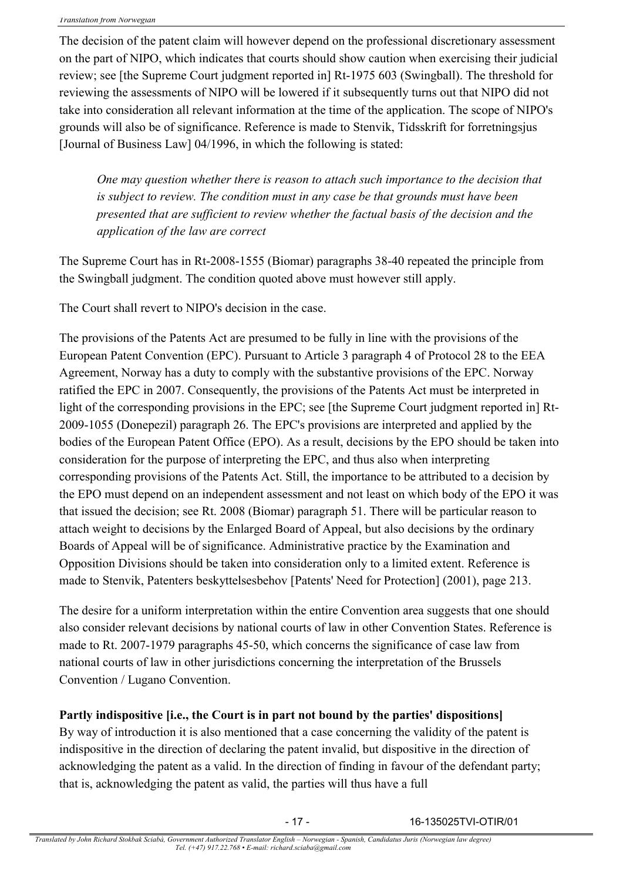The decision of the patent claim will however depend on the professional discretionary assessment on the part of NIPO, which indicates that courts should show caution when exercising their judicial review; see [the Supreme Court judgment reported in] Rt-1975 603 (Swingball). The threshold for reviewing the assessments of NIPO will be lowered if it subsequently turns out that NIPO did not take into consideration all relevant information at the time of the application. The scope of NIPO's grounds will also be of significance. Reference is made to Stenvik, Tidsskrift for forretningsjus [Journal of Business Law] 04/1996, in which the following is stated:

*One may question whether there is reason to attach such importance to the decision that is subject to review. The condition must in any case be that grounds must have been presented that are sufficient to review whether the factual basis of the decision and the application of the law are correct*

The Supreme Court has in Rt-2008-1555 (Biomar) paragraphs 38-40 repeated the principle from the Swingball judgment. The condition quoted above must however still apply.

The Court shall revert to NIPO's decision in the case.

The provisions of the Patents Act are presumed to be fully in line with the provisions of the European Patent Convention (EPC). Pursuant to Article 3 paragraph 4 of Protocol 28 to the EEA Agreement, Norway has a duty to comply with the substantive provisions of the EPC. Norway ratified the EPC in 2007. Consequently, the provisions of the Patents Act must be interpreted in light of the corresponding provisions in the EPC; see [the Supreme Court judgment reported in] Rt-2009-1055 (Donepezil) paragraph 26. The EPC's provisions are interpreted and applied by the bodies of the European Patent Office (EPO). As a result, decisions by the EPO should be taken into consideration for the purpose of interpreting the EPC, and thus also when interpreting corresponding provisions of the Patents Act. Still, the importance to be attributed to a decision by the EPO must depend on an independent assessment and not least on which body of the EPO it was that issued the decision; see Rt. 2008 (Biomar) paragraph 51. There will be particular reason to attach weight to decisions by the Enlarged Board of Appeal, but also decisions by the ordinary Boards of Appeal will be of significance. Administrative practice by the Examination and Opposition Divisions should be taken into consideration only to a limited extent. Reference is made to Stenvik, Patenters beskyttelsesbehov [Patents' Need for Protection] (2001), page 213.

The desire for a uniform interpretation within the entire Convention area suggests that one should also consider relevant decisions by national courts of law in other Convention States. Reference is made to Rt. 2007-1979 paragraphs 45-50, which concerns the significance of case law from national courts of law in other jurisdictions concerning the interpretation of the Brussels Convention / Lugano Convention.

**Partly indispositive [i.e., the Court is in part not bound by the parties' dispositions]**

By way of introduction it is also mentioned that a case concerning the validity of the patent is indispositive in the direction of declaring the patent invalid, but dispositive in the direction of acknowledging the patent as a valid. In the direction of finding in favour of the defendant party; that is, acknowledging the patent as valid, the parties will thus have a full

- 17 - 16-135025TVI-OTIR/01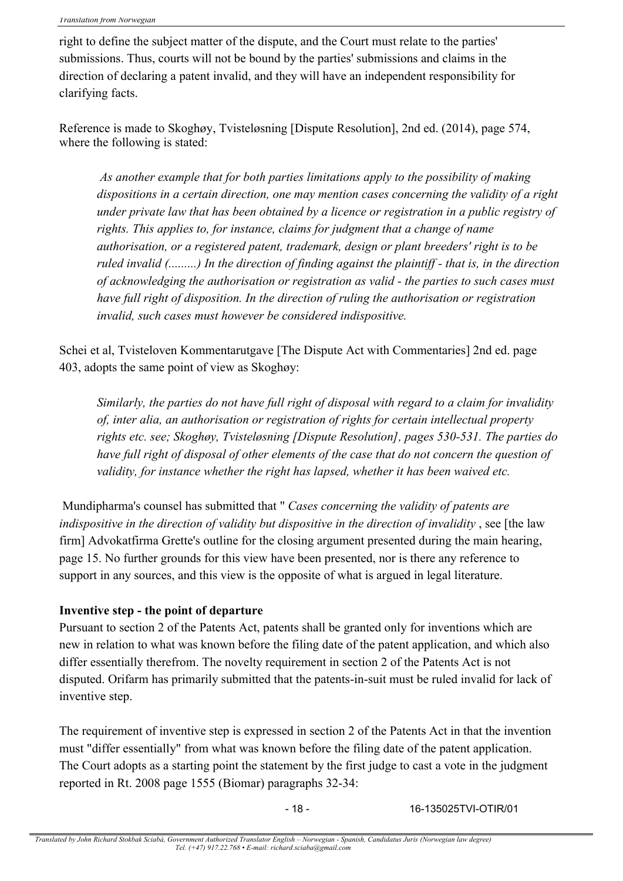right to define the subject matter of the dispute, and the Court must relate to the parties' submissions. Thus, courts will not be bound by the parties' submissions and claims in the direction of declaring a patent invalid, and they will have an independent responsibility for clarifying facts.

Reference is made to Skoghøy, Tvisteløsning [Dispute Resolution], 2nd ed. (2014), page 574, where the following is stated:

*As another example that for both parties limitations apply to the possibility of making dispositions in a certain direction, one may mention cases concerning the validity of a right under private law that has been obtained by a licence or registration in a public registry of rights. This applies to, for instance, claims for judgment that a change of name authorisation, or a registered patent, trademark, design or plant breeders' right is to be ruled invalid (.........) In the direction of finding against the plaintiff - that is, in the direction of acknowledging the authorisation or registration as valid - the parties to such cases must have full right of disposition. In the direction of ruling the authorisation or registration invalid, such cases must however be considered indispositive.*

Schei et al, Tvisteloven Kommentarutgave [The Dispute Act with Commentaries] 2nd ed. page 403, adopts the same point of view as Skoghøy:

*Similarly, the parties do not have full right of disposal with regard to a claim for invalidity of, inter alia, an authorisation or registration of rights for certain intellectual property rights etc. see; Skoghøy, Tvisteløsning [Dispute Resolution], pages 530-531. The parties do have full right of disposal of other elements of the case that do not concern the question of validity, for instance whether the right has lapsed, whether it has been waived etc.*

Mundipharma's counsel has submitted that " *Cases concerning the validity of patents are indispositive in the direction of validity but dispositive in the direction of invalidity*, see [the law firm] Advokatfirma Grette's outline for the closing argument presented during the main hearing, page 15. No further grounds for this view have been presented, nor is there any reference to support in any sources, and this view is the opposite of what is argued in legal literature.

### **Inventive step - the point of departure**

Pursuant to section 2 of the Patents Act, patents shall be granted only for inventions which are new in relation to what was known before the filing date of the patent application, and which also differ essentially therefrom. The novelty requirement in section 2 of the Patents Act is not disputed. Orifarm has primarily submitted that the patents-in-suit must be ruled invalid for lack of inventive step.

The requirement of inventive step is expressed in section 2 of the Patents Act in that the invention must "differ essentially" from what was known before the filing date of the patent application. The Court adopts as a starting point the statement by the first judge to cast a vote in the judgment reported in Rt. 2008 page 1555 (Biomar) paragraphs 32-34:

- 18 - 16-135025TVI-OTIR/01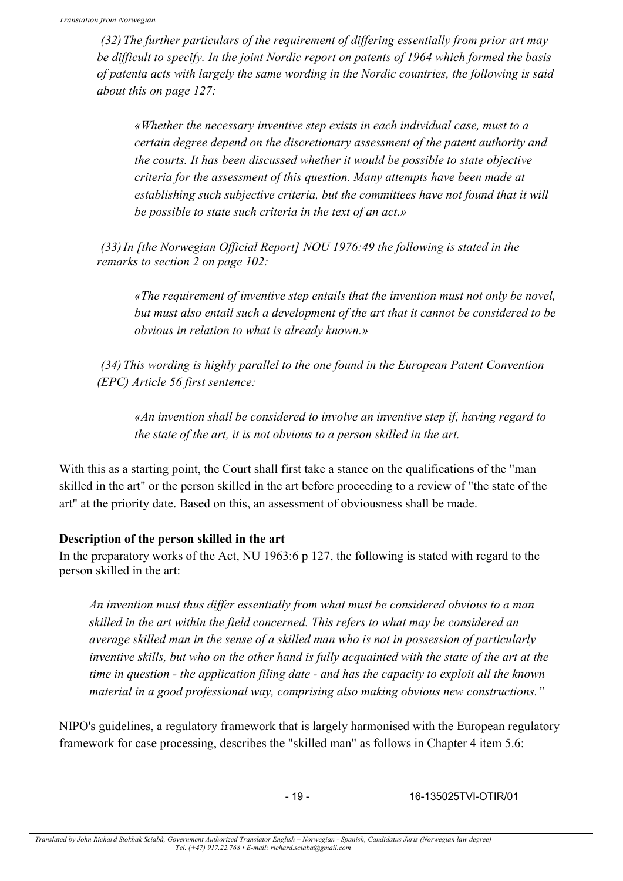*(32)The further particulars of the requirement of differing essentially from prior art may be difficult to specify. In the joint Nordic report on patents of 1964 which formed the basis of patenta acts with largely the same wording in the Nordic countries, the following is said about this on page 127:*

*«Whether the necessary inventive step exists in each individual case, must to a certain degree depend on the discretionary assessment of the patent authority and the courts. It has been discussed whether it would be possible to state objective criteria for the assessment of this question. Many attempts have been made at establishing such subjective criteria, but the committees have not found that it will be possible to state such criteria in the text of an act.»*

*(33)In [the Norwegian Official Report] NOU 1976:49 the following is stated in the remarks to section 2 on page 102:*

*«The requirement of inventive step entails that the invention must not only be novel, but must also entail such a development of the art that it cannot be considered to be obvious in relation to what is already known.»*

*(34)This wording is highly parallel to the one found in the European Patent Convention (EPC) Article 56 first sentence:*

*«An invention shall be considered to involve an inventive step if, having regard to the state of the art, it is not obvious to a person skilled in the art.*

With this as a starting point, the Court shall first take a stance on the qualifications of the "man" skilled in the art" or the person skilled in the art before proceeding to a review of "the state of the art" at the priority date. Based on this, an assessment of obviousness shall be made.

### **Description of the person skilled in the art**

In the preparatory works of the Act, NU 1963:6 p 127, the following is stated with regard to the person skilled in the art:

*An invention must thus differ essentially from what must be considered obvious to a man skilled in the art within the field concerned. This refers to what may be considered an average skilled man in the sense of a skilled man who is not in possession of particularly inventive skills, but who on the other hand is fully acquainted with the state of the art at the time in question - the application filing date - and has the capacity to exploit all the known material in a good professional way, comprising also making obvious new constructions."*

NIPO's guidelines, a regulatory framework that is largely harmonised with the European regulatory framework for case processing, describes the "skilled man" as follows in Chapter 4 item 5.6:

- 19 - 16-135025TVI-OTIR/01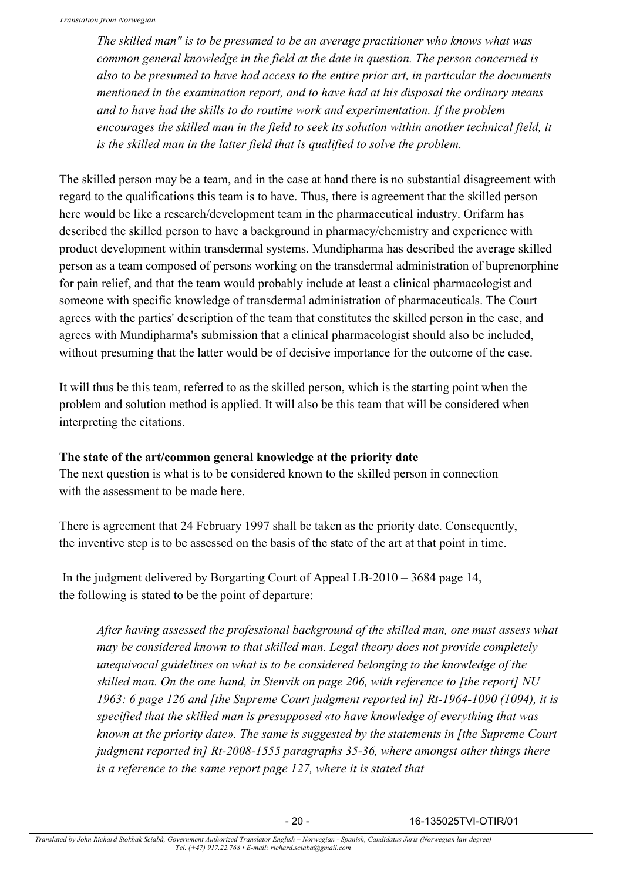*The skilled man" is to be presumed to be an average practitioner who knows what was common general knowledge in the field at the date in question. The person concerned is also to be presumed to have had access to the entire prior art, in particular the documents mentioned in the examination report, and to have had at his disposal the ordinary means and to have had the skills to do routine work and experimentation. If the problem encourages the skilled man in the field to seek its solution within another technical field, it is the skilled man in the latter field that is qualified to solve the problem.*

The skilled person may be a team, and in the case at hand there is no substantial disagreement with regard to the qualifications this team is to have. Thus, there is agreement that the skilled person here would be like a research/development team in the pharmaceutical industry. Orifarm has described the skilled person to have a background in pharmacy/chemistry and experience with product development within transdermal systems. Mundipharma has described the average skilled person as a team composed of persons working on the transdermal administration of buprenorphine for pain relief, and that the team would probably include at least a clinical pharmacologist and someone with specific knowledge of transdermal administration of pharmaceuticals. The Court agrees with the parties' description of the team that constitutes the skilled person in the case, and agrees with Mundipharma's submission that a clinical pharmacologist should also be included, without presuming that the latter would be of decisive importance for the outcome of the case.

It will thus be this team, referred to as the skilled person, which is the starting point when the problem and solution method is applied. It will also be this team that will be considered when interpreting the citations.

### **The state of the art/common general knowledge at the priority date**

The next question is what is to be considered known to the skilled person in connection with the assessment to be made here.

There is agreement that 24 February 1997 shall be taken as the priority date. Consequently, the inventive step is to be assessed on the basis of the state of the art at that point in time.

In the judgment delivered by Borgarting Court of Appeal  $LB-2010-3684$  page 14, the following is stated to be the point of departure:

*After having assessed the professional background of the skilled man, one must assess what may be considered known to that skilled man. Legal theory does not provide completely unequivocal guidelines on what is to be considered belonging to the knowledge of the skilled man. On the one hand, in Stenvik on page 206, with reference to [the report] NU 1963: 6 page 126 and [the Supreme Court judgment reported in] Rt-1964-1090 (1094), it is specified that the skilled man is presupposed «to have knowledge of everything that was known at the priority date». The same is suggested by the statements in [the Supreme Court judgment reported in] Rt-2008-1555 paragraphs 35-36, where amongst other things there is a reference to the same report page 127, where it is stated that*

- 20 - 16-135025TVI-OTIR/01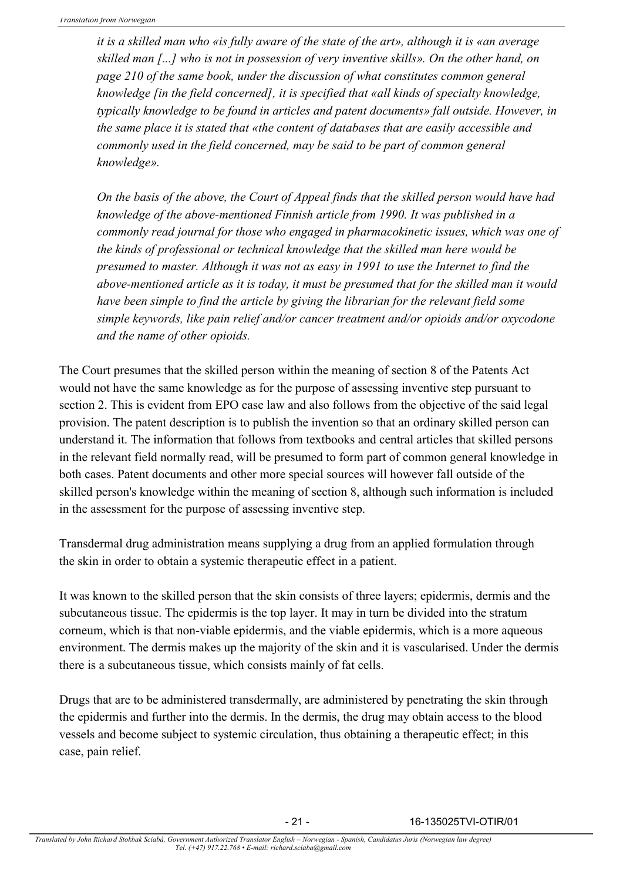*it is a skilled man who «is fully aware of the state of the art», although it is «an average skilled man [...] who is not in possession of very inventive skills». On the other hand, on page 210 of the same book, under the discussion of what constitutes common general knowledge [in the field concerned], it is specified that «all kinds of specialty knowledge, typically knowledge to be found in articles and patent documents» fall outside. However, in the same place it is stated that «the content of databases that are easily accessible and commonly used in the field concerned, may be said to be part of common general knowledge».*

*On the basis of the above, the Court of Appeal finds that the skilled person would have had knowledge of the above-mentioned Finnish article from 1990. It was published in a commonly read journal for those who engaged in pharmacokinetic issues, which was one of the kinds of professional or technical knowledge that the skilled man here would be presumed to master. Although it was not as easy in 1991 to use the Internet to find the above-mentioned article as it is today, it must be presumed that for the skilled man it would have been simple to find the article by giving the librarian for the relevant field some simple keywords, like pain relief and/or cancer treatment and/or opioids and/or oxycodone and the name of other opioids.*

The Court presumes that the skilled person within the meaning of section 8 of the Patents Act would not have the same knowledge as for the purpose of assessing inventive step pursuant to section 2. This is evident from EPO case law and also follows from the objective of the said legal provision. The patent description is to publish the invention so that an ordinary skilled person can understand it. The information that follows from textbooks and central articles that skilled persons in the relevant field normally read, will be presumed to form part of common general knowledge in both cases. Patent documents and other more special sources will however fall outside of the skilled person's knowledge within the meaning of section 8, although such information is included in the assessment for the purpose of assessing inventive step.

Transdermal drug administration means supplying a drug from an applied formulation through the skin in order to obtain a systemic therapeutic effect in a patient.

It was known to the skilled person that the skin consists of three layers; epidermis, dermis and the subcutaneous tissue. The epidermis is the top layer. It may in turn be divided into the stratum corneum, which is that non-viable epidermis, and the viable epidermis, which is a more aqueous environment. The dermis makes up the majority of the skin and it is vascularised. Under the dermis there is a subcutaneous tissue, which consists mainly of fat cells.

Drugs that are to be administered transdermally, are administered by penetrating the skin through the epidermis and further into the dermis. In the dermis, the drug may obtain access to the blood vessels and become subject to systemic circulation, thus obtaining a therapeutic effect; in this case, pain relief.

- 21 - 16-135025TVI-OTIR/01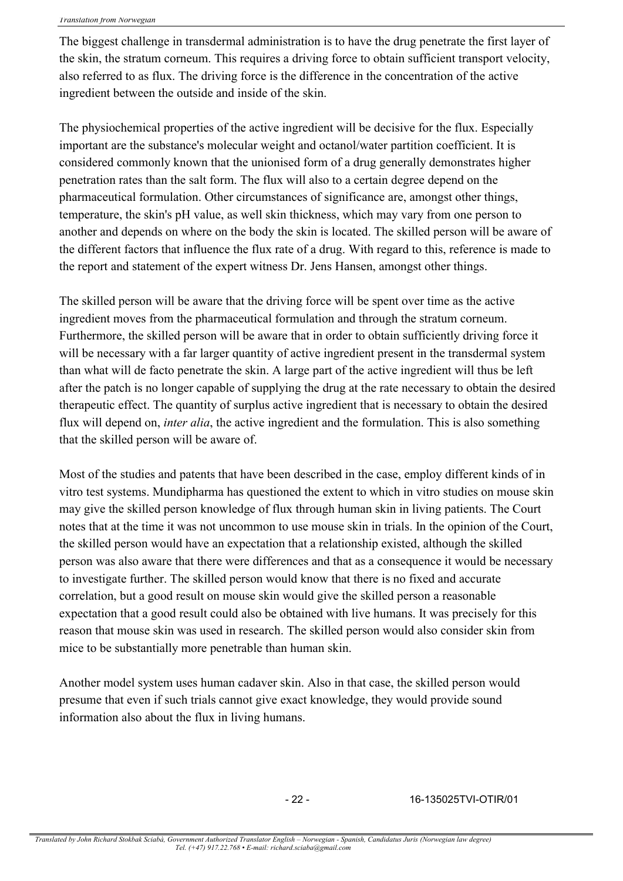The biggest challenge in transdermal administration is to have the drug penetrate the first layer of the skin, the stratum corneum. This requires a driving force to obtain sufficient transport velocity, also referred to as flux. The driving force is the difference in the concentration of the active ingredient between the outside and inside of the skin.

The physiochemical properties of the active ingredient will be decisive for the flux. Especially important are the substance's molecular weight and octanol/water partition coefficient. It is considered commonly known that the unionised form of a drug generally demonstrates higher penetration rates than the salt form. The flux will also to a certain degree depend on the pharmaceutical formulation. Other circumstances of significance are, amongst other things, temperature, the skin's pH value, as well skin thickness, which may vary from one person to another and depends on where on the body the skin is located. The skilled person will be aware of the different factors that influence the flux rate of a drug. With regard to this, reference is made to the report and statement of the expert witness Dr. Jens Hansen, amongst other things.

The skilled person will be aware that the driving force will be spent over time as the active ingredient moves from the pharmaceutical formulation and through the stratum corneum. Furthermore, the skilled person will be aware that in order to obtain sufficiently driving force it will be necessary with a far larger quantity of active ingredient present in the transdermal system than what will de facto penetrate the skin. A large part of the active ingredient will thus be left after the patch is no longer capable of supplying the drug at the rate necessary to obtain the desired therapeutic effect. The quantity of surplus active ingredient that is necessary to obtain the desired flux will depend on, *inter alia*, the active ingredient and the formulation. This is also something that the skilled person will be aware of.

Most of the studies and patents that have been described in the case, employ different kinds of in vitro test systems. Mundipharma has questioned the extent to which in vitro studies on mouse skin may give the skilled person knowledge of flux through human skin in living patients. The Court notes that at the time it was not uncommon to use mouse skin in trials. In the opinion of the Court, the skilled person would have an expectation that a relationship existed, although the skilled person was also aware that there were differences and that as a consequence it would be necessary to investigate further. The skilled person would know that there is no fixed and accurate correlation, but a good result on mouse skin would give the skilled person a reasonable expectation that a good result could also be obtained with live humans. It was precisely for this reason that mouse skin was used in research. The skilled person would also consider skin from mice to be substantially more penetrable than human skin.

Another model system uses human cadaver skin. Also in that case, the skilled person would presume that even if such trials cannot give exact knowledge, they would provide sound information also about the flux in living humans.

- 22 - 16-135025TVI-OTIR/01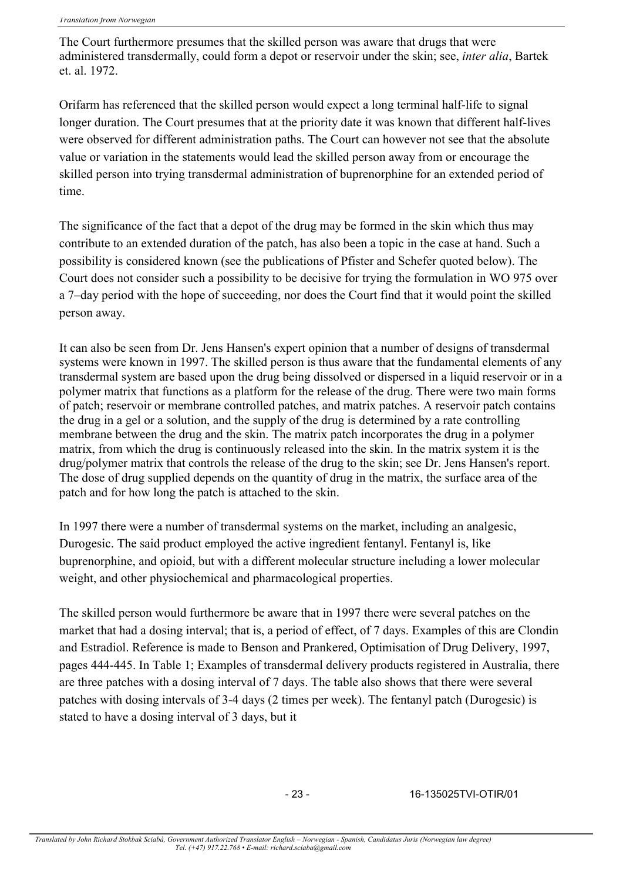The Court furthermore presumes that the skilled person was aware that drugs that were administered transdermally, could form a depot or reservoir under the skin; see, *inter alia*, Bartek et. al. 1972.

Orifarm has referenced that the skilled person would expect a long terminal half-life to signal longer duration. The Court presumes that at the priority date it was known that different half-lives were observed for different administration paths. The Court can however not see that the absolute value or variation in the statements would lead the skilled person away from or encourage the skilled person into trying transdermal administration of buprenorphine for an extended period of time.

The significance of the fact that a depot of the drug may be formed in the skin which thus may contribute to an extended duration of the patch, has also been a topic in the case at hand. Such a possibility is considered known (see the publications of Pfister and Schefer quoted below). The Court does not consider such a possibility to be decisive for trying the formulation in WO 975 over a 7–day period with the hope of succeeding, nor does the Court find that it would point the skilled person away.

It can also be seen from Dr. Jens Hansen's expert opinion that a number of designs of transdermal systems were known in 1997. The skilled person is thus aware that the fundamental elements of any transdermal system are based upon the drug being dissolved or dispersed in a liquid reservoir or in a polymer matrix that functions as a platform for the release of the drug. There were two main forms of patch; reservoir or membrane controlled patches, and matrix patches. A reservoir patch contains the drug in a gel or a solution, and the supply of the drug is determined by a rate controlling membrane between the drug and the skin. The matrix patch incorporates the drug in a polymer matrix, from which the drug is continuously released into the skin. In the matrix system it is the drug/polymer matrix that controls the release of the drug to the skin; see Dr. Jens Hansen's report. The dose of drug supplied depends on the quantity of drug in the matrix, the surface area of the patch and for how long the patch is attached to the skin.

In 1997 there were a number of transdermal systems on the market, including an analgesic, Durogesic. The said product employed the active ingredient fentanyl. Fentanyl is, like buprenorphine, and opioid, but with a different molecular structure including a lower molecular weight, and other physiochemical and pharmacological properties.

The skilled person would furthermore be aware that in 1997 there were several patches on the market that had a dosing interval; that is, a period of effect, of 7 days. Examples of this are Clondin and Estradiol. Reference is made to Benson and Prankered, Optimisation of Drug Delivery, 1997, pages 444-445. In Table 1; Examples of transdermal delivery products registered in Australia, there are three patches with a dosing interval of 7 days. The table also shows that there were several patches with dosing intervals of 3-4 days (2 times per week). The fentanyl patch (Durogesic) is stated to have a dosing interval of 3 days, but it

- 23 - 16-135025TVI-OTIR/01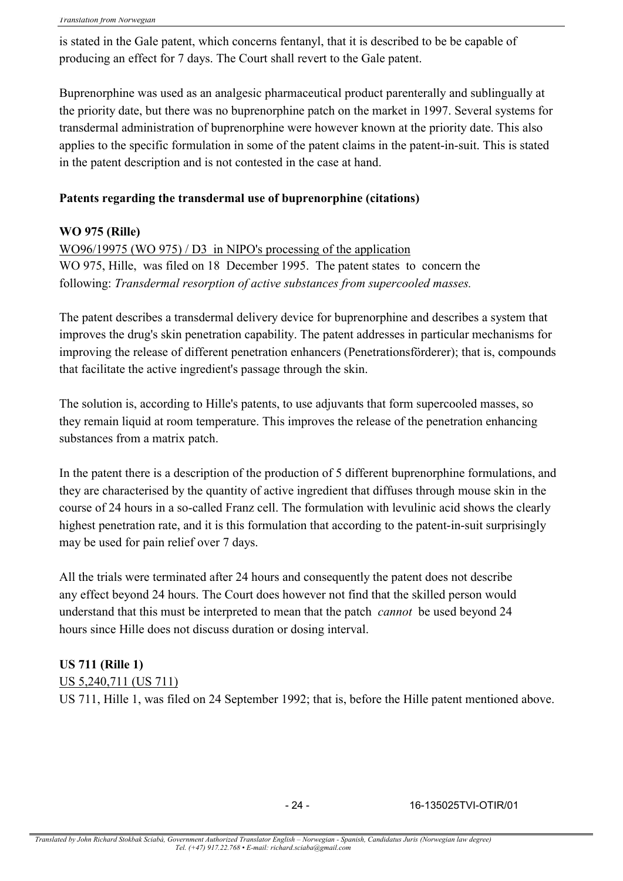is stated in the Gale patent, which concerns fentanyl, that it is described to be be capable of producing an effect for 7 days. The Court shall revert to the Gale patent.

Buprenorphine was used as an analgesic pharmaceutical product parenterally and sublingually at the priority date, but there was no buprenorphine patch on the market in 1997. Several systems for transdermal administration of buprenorphine were however known at the priority date. This also applies to the specific formulation in some of the patent claims in the patent-in-suit. This is stated in the patent description and is not contested in the case at hand.

### **Patents regarding the transdermal use of buprenorphine (citations)**

### **WO 975 (Rille)**

WO96/19975 (WO 975) / D3 in NIPO's processing of the application WO 975, Hille, was filed on 18 December 1995. The patent states to concern the following: *Transdermal resorption of active substances from supercooled masses.*

The patent describes a transdermal delivery device for buprenorphine and describes a system that improves the drug's skin penetration capability. The patent addresses in particular mechanisms for improving the release of different penetration enhancers (Penetrationsförderer); that is, compounds that facilitate the active ingredient's passage through the skin.

The solution is, according to Hille's patents, to use adjuvants that form supercooled masses, so they remain liquid at room temperature. This improves the release of the penetration enhancing substances from a matrix patch.

In the patent there is a description of the production of 5 different buprenorphine formulations, and they are characterised by the quantity of active ingredient that diffuses through mouse skin in the course of 24 hours in a so-called Franz cell. The formulation with levulinic acid shows the clearly highest penetration rate, and it is this formulation that according to the patent-in-suit surprisingly may be used for pain relief over 7 days.

All the trials were terminated after 24 hours and consequently the patent does not describe any effect beyond 24 hours. The Court does however not find that the skilled person would understand that this must be interpreted to mean that the patch *cannot* be used beyond 24 hours since Hille does not discuss duration or dosing interval.

### **US 711 (Rille 1)**

US 5,240,711 (US 711)

US 711, Hille 1, was filed on 24 September 1992; that is, before the Hille patent mentioned above.

- 24 - 16-135025TVI-OTIR/01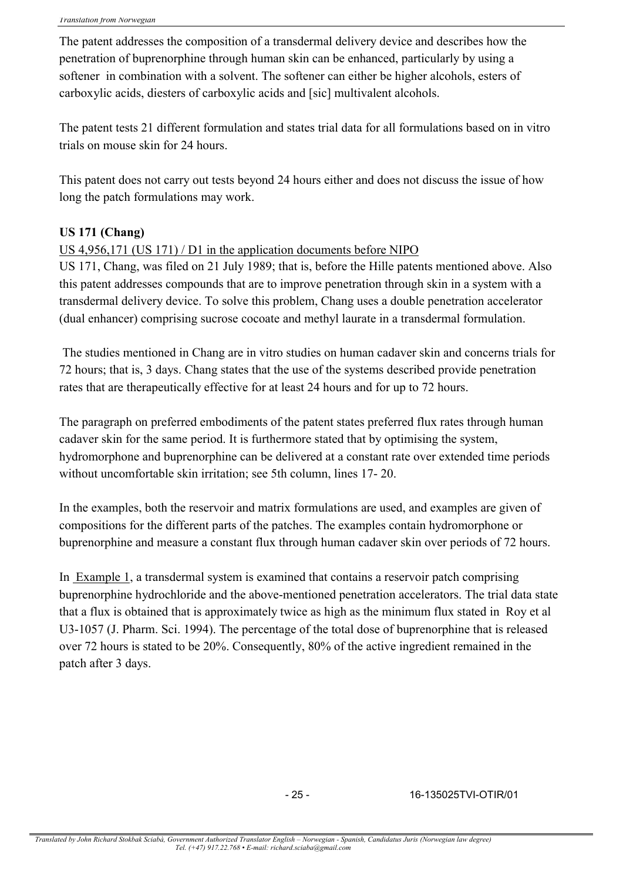The patent addresses the composition of a transdermal delivery device and describes how the penetration of buprenorphine through human skin can be enhanced, particularly by using a softener in combination with a solvent. The softener can either be higher alcohols, esters of carboxylic acids, diesters of carboxylic acids and [sic] multivalent alcohols.

The patent tests 21 different formulation and states trial data for all formulations based on in vitro trials on mouse skin for 24 hours.

This patent does not carry out tests beyond 24 hours either and does not discuss the issue of how long the patch formulations may work.

# **US 171 (Chang)**

### US 4,956,171 (US 171) / D1 in the application documents before NIPO

US 171, Chang, was filed on 21 July 1989; that is, before the Hille patents mentioned above. Also this patent addresses compounds that are to improve penetration through skin in a system with a transdermal delivery device. To solve this problem, Chang uses a double penetration accelerator (dual enhancer) comprising sucrose cocoate and methyl laurate in a transdermal formulation.

The studies mentioned in Chang are in vitro studies on human cadaver skin and concerns trials for 72 hours; that is, 3 days. Chang states that the use of the systems described provide penetration rates that are therapeutically effective for at least 24 hours and for up to 72 hours.

The paragraph on preferred embodiments of the patent states preferred flux rates through human cadaver skin for the same period. It is furthermore stated that by optimising the system, hydromorphone and buprenorphine can be delivered at a constant rate over extended time periods without uncomfortable skin irritation; see 5th column, lines 17- 20.

In the examples, both the reservoir and matrix formulations are used, and examples are given of compositions for the different parts of the patches. The examples contain hydromorphone or buprenorphine and measure a constant flux through human cadaver skin over periods of 72 hours.

In Example 1, a transdermal system is examined that contains a reservoir patch comprising buprenorphine hydrochloride and the above-mentioned penetration accelerators. The trial data state that a flux is obtained that is approximately twice as high as the minimum flux stated in Roy et al U3-1057 (J. Pharm. Sci. 1994). The percentage of the total dose of buprenorphine that is released over 72 hours is stated to be 20%. Consequently, 80% of the active ingredient remained in the patch after 3 days.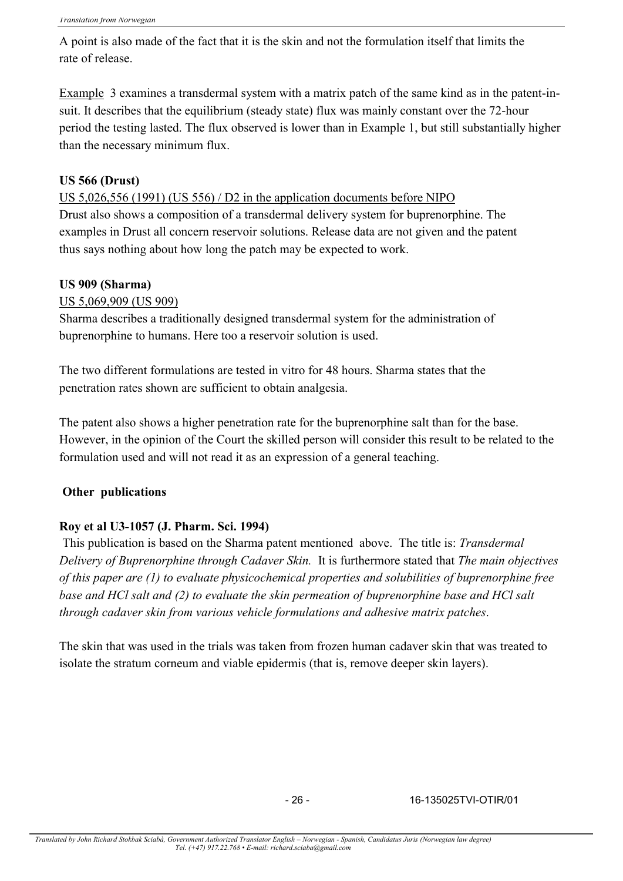A point is also made of the fact that it is the skin and not the formulation itself that limits the rate of release.

Example 3 examines a transdermal system with a matrix patch of the same kind as in the patent-insuit. It describes that the equilibrium (steady state) flux was mainly constant over the 72-hour period the testing lasted. The flux observed is lower than in Example 1, but still substantially higher than the necessary minimum flux.

### **US 566 (Drust)**

US 5,026,556 (1991) (US 556) / D2 in the application documents before NIPO

Drust also shows a composition of a transdermal delivery system for buprenorphine. The examples in Drust all concern reservoir solutions. Release data are not given and the patent thus says nothing about how long the patch may be expected to work.

### **US 909 (Sharma)**

US 5,069,909 (US 909)

Sharma describes a traditionally designed transdermal system for the administration of buprenorphine to humans. Here too a reservoir solution is used.

The two different formulations are tested in vitro for 48 hours. Sharma states that the penetration rates shown are sufficient to obtain analgesia.

The patent also shows a higher penetration rate for the buprenorphine salt than for the base. However, in the opinion of the Court the skilled person will consider this result to be related to the formulation used and will not read it as an expression of a general teaching.

### **Other publications**

### **Roy et al U3-1057 (J. Pharm. Sci. 1994)**

This publication is based on the Sharma patent mentioned above. The title is: *Transdermal Delivery of Buprenorphine through Cadaver Skin.* It is furthermore stated that *The main objectives of this paper are (1) to evaluate physicochemical properties and solubilities of buprenorphine free base and HCl salt and (2) to evaluate the skin permeation of buprenorphine base and HCl salt through cadaver skin from various vehicle formulations and adhesive matrix patches*.

The skin that was used in the trials was taken from frozen human cadaver skin that was treated to isolate the stratum corneum and viable epidermis (that is, remove deeper skin layers).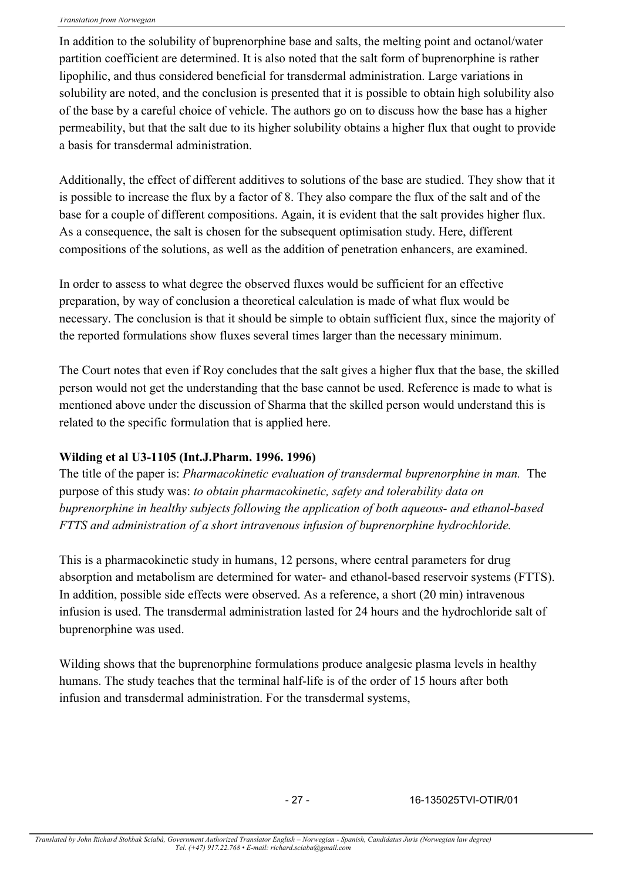In addition to the solubility of buprenorphine base and salts, the melting point and octanol/water partition coefficient are determined. It is also noted that the salt form of buprenorphine is rather lipophilic, and thus considered beneficial for transdermal administration. Large variations in solubility are noted, and the conclusion is presented that it is possible to obtain high solubility also of the base by a careful choice of vehicle. The authors go on to discuss how the base has a higher permeability, but that the salt due to its higher solubility obtains a higher flux that ought to provide a basis for transdermal administration.

Additionally, the effect of different additives to solutions of the base are studied. They show that it is possible to increase the flux by a factor of 8. They also compare the flux of the salt and of the base for a couple of different compositions. Again, it is evident that the salt provides higher flux. As a consequence, the salt is chosen for the subsequent optimisation study. Here, different compositions of the solutions, as well as the addition of penetration enhancers, are examined.

In order to assess to what degree the observed fluxes would be sufficient for an effective preparation, by way of conclusion a theoretical calculation is made of what flux would be necessary. The conclusion is that it should be simple to obtain sufficient flux, since the majority of the reported formulations show fluxes several times larger than the necessary minimum.

The Court notes that even if Roy concludes that the salt gives a higher flux that the base, the skilled person would not get the understanding that the base cannot be used. Reference is made to what is mentioned above under the discussion of Sharma that the skilled person would understand this is related to the specific formulation that is applied here.

### **Wilding et al U3-1105 (Int.J.Pharm. 1996. 1996)**

The title of the paper is: *Pharmacokinetic evaluation of transdermal buprenorphine in man.* The purpose of this study was: *to obtain pharmacokinetic, safety and tolerability data on buprenorphine in healthy subjects following the application of both aqueous- and ethanol-based FTTS and administration of a short intravenous infusion of buprenorphine hydrochloride.*

This is a pharmacokinetic study in humans, 12 persons, where central parameters for drug absorption and metabolism are determined for water- and ethanol-based reservoir systems (FTTS). In addition, possible side effects were observed. As a reference, a short (20 min) intravenous infusion is used. The transdermal administration lasted for 24 hours and the hydrochloride salt of buprenorphine was used.

Wilding shows that the buprenorphine formulations produce analgesic plasma levels in healthy humans. The study teaches that the terminal half-life is of the order of 15 hours after both infusion and transdermal administration. For the transdermal systems,

- 27 - 16-135025TVI-OTIR/01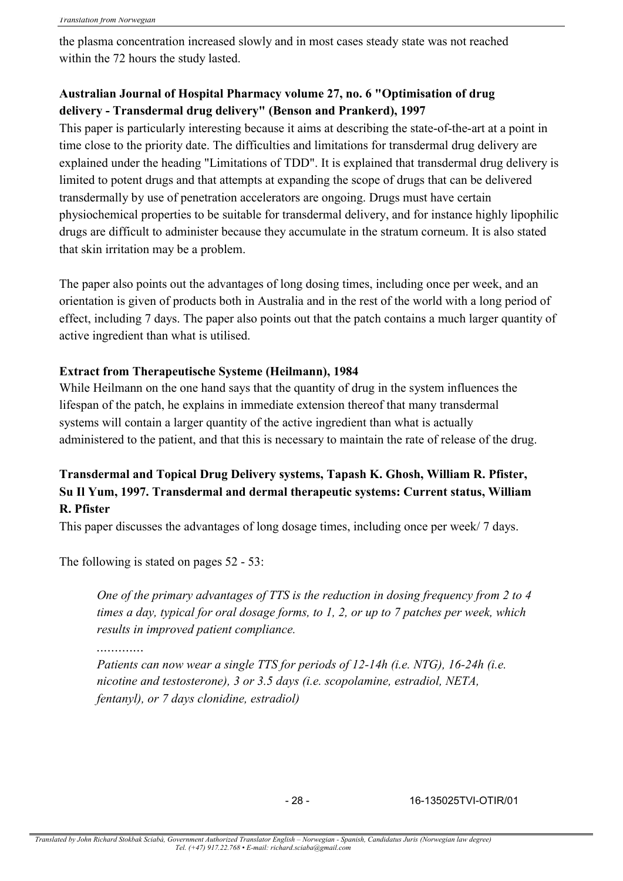the plasma concentration increased slowly and in most cases steady state was not reached within the 72 hours the study lasted.

# **Australian Journal of Hospital Pharmacy volume 27, no. 6 "Optimisation of drug delivery - Transdermal drug delivery" (Benson and Prankerd), 1997**

This paper is particularly interesting because it aims at describing the state-of-the-art at a point in time close to the priority date. The difficulties and limitations for transdermal drug delivery are explained under the heading "Limitations of TDD". It is explained that transdermal drug delivery is limited to potent drugs and that attempts at expanding the scope of drugs that can be delivered transdermally by use of penetration accelerators are ongoing. Drugs must have certain physiochemical properties to be suitable for transdermal delivery, and for instance highly lipophilic drugs are difficult to administer because they accumulate in the stratum corneum. It is also stated that skin irritation may be a problem.

The paper also points out the advantages of long dosing times, including once per week, and an orientation is given of products both in Australia and in the rest of the world with a long period of effect, including 7 days. The paper also points out that the patch contains a much larger quantity of active ingredient than what is utilised.

### **Extract from Therapeutische Systeme (Heilmann), 1984**

While Heilmann on the one hand says that the quantity of drug in the system influences the lifespan of the patch, he explains in immediate extension thereof that many transdermal systems will contain a larger quantity of the active ingredient than what is actually administered to the patient, and that this is necessary to maintain the rate of release of the drug.

# **Transdermal and Topical Drug Delivery systems, Tapash K. Ghosh, William R. Pfister, Su Il Yum, 1997. Transdermal and dermal therapeutic systems: Current status, William R. Pfister**

This paper discusses the advantages of long dosage times, including once per week/ 7 days.

The following is stated on pages 52 - 53:

*One of the primary advantages of TTS is the reduction in dosing frequency from 2 to 4 times a day, typical for oral dosage forms, to 1, 2, or up to 7 patches per week, which results in improved patient compliance.*

*.............*

*Patients can now wear a single TTS for periods of 12-14h (i.e. NTG), 16-24h (i.e. nicotine and testosterone), 3 or 3.5 days (i.e. scopolamine, estradiol, NETA, fentanyl), or 7 days clonidine, estradiol)*

- 28 - 16-135025TVI-OTIR/01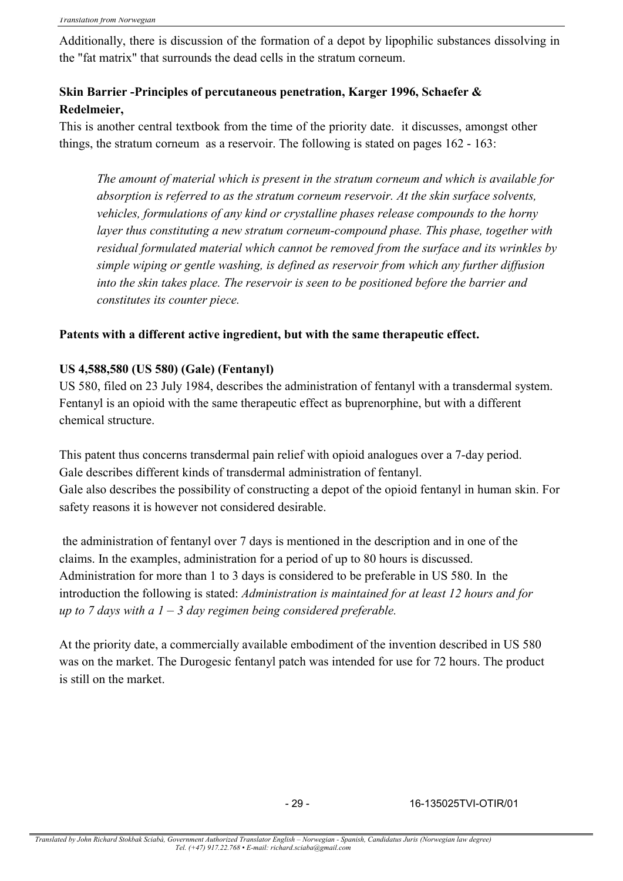Additionally, there is discussion of the formation of a depot by lipophilic substances dissolving in the "fat matrix" that surrounds the dead cells in the stratum corneum.

# **Skin Barrier -Principles of percutaneous penetration, Karger 1996, Schaefer & Redelmeier,**

This is another central textbook from the time of the priority date. it discusses, amongst other things, the stratum corneum as a reservoir. The following is stated on pages 162 - 163:

*The amount of material which is present in the stratum corneum and which is available for absorption is referred to as the stratum corneum reservoir. At the skin surface solvents, vehicles, formulations of any kind or crystalline phases release compounds to the horny layer thus constituting a new stratum corneum-compound phase. This phase, together with residual formulated material which cannot be removed from the surface and its wrinkles by simple wiping or gentle washing, is defined as reservoir from which any further diffusion into the skin takes place. The reservoir is seen to be positioned before the barrier and constitutes its counter piece.*

### **Patents with a different active ingredient, but with the same therapeutic effect.**

### **US 4,588,580 (US 580) (Gale) (Fentanyl)**

US 580, filed on 23 July 1984, describes the administration of fentanyl with a transdermal system. Fentanyl is an opioid with the same therapeutic effect as buprenorphine, but with a different chemical structure.

This patent thus concerns transdermal pain relief with opioid analogues over a 7-day period. Gale describes different kinds of transdermal administration of fentanyl. Gale also describes the possibility of constructing a depot of the opioid fentanyl in human skin. For safety reasons it is however not considered desirable.

the administration of fentanyl over 7 days is mentioned in the description and in one of the claims. In the examples, administration for a period of up to 80 hours is discussed. Administration for more than 1 to 3 days is considered to be preferable in US 580. In the introduction the following is stated: *Administration is maintained for at least 12 hours and for up to 7 days with a 1 – 3 day regimen being considered preferable.*

At the priority date, a commercially available embodiment of the invention described in US 580 was on the market. The Durogesic fentanyl patch was intended for use for 72 hours. The product is still on the market.

- 29 - 16-135025TVI-OTIR/01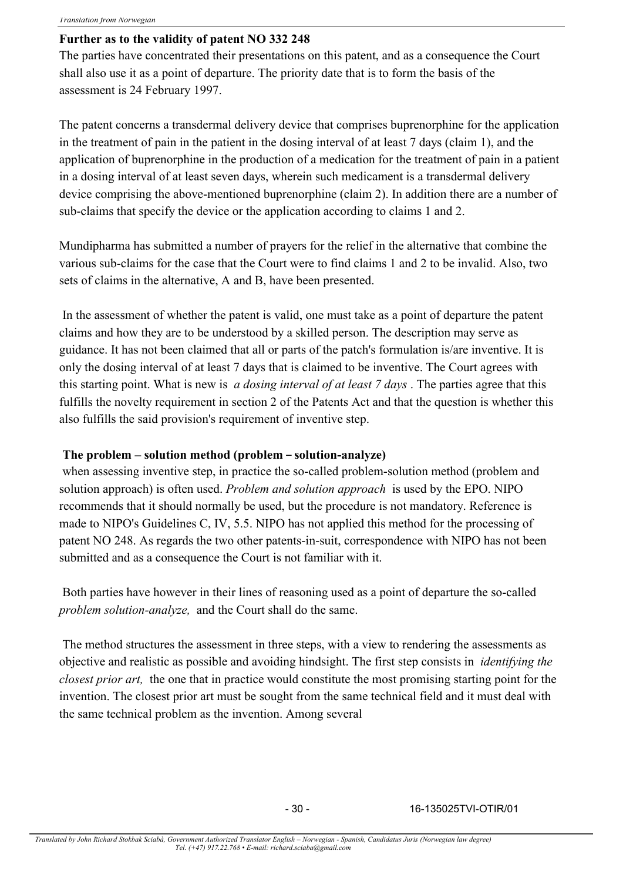### **Further as to the validity of patent NO 332 248**

The parties have concentrated their presentations on this patent, and as a consequence the Court shall also use it as a point of departure. The priority date that is to form the basis of the assessment is 24 February 1997.

The patent concerns a transdermal delivery device that comprises buprenorphine for the application in the treatment of pain in the patient in the dosing interval of at least 7 days (claim 1), and the application of buprenorphine in the production of a medication for the treatment of pain in a patient in a dosing interval of at least seven days, wherein such medicament is a transdermal delivery device comprising the above-mentioned buprenorphine (claim 2). In addition there are a number of sub-claims that specify the device or the application according to claims 1 and 2.

Mundipharma has submitted a number of prayers for the relief in the alternative that combine the various sub-claims for the case that the Court were to find claims 1 and 2 to be invalid. Also, two sets of claims in the alternative, A and B, have been presented.

In the assessment of whether the patent is valid, one must take as a point of departure the patent claims and how they are to be understood by a skilled person. The description may serve as guidance. It has not been claimed that all or parts of the patch's formulation is/are inventive. It is only the dosing interval of at least 7 days that is claimed to be inventive. The Court agrees with this starting point. What is new is *a dosing interval of at least 7 days* . The parties agree that this fulfills the novelty requirement in section 2 of the Patents Act and that the question is whether this also fulfills the said provision's requirement of inventive step.

### **The problem – solution method (problem – solution-analyze)**

when assessing inventive step, in practice the so-called problem-solution method (problem and solution approach) is often used. *Problem and solution approach* is used by the EPO. NIPO recommends that it should normally be used, but the procedure is not mandatory. Reference is made to NIPO's Guidelines C, IV, 5.5. NIPO has not applied this method for the processing of patent NO 248. As regards the two other patents-in-suit, correspondence with NIPO has not been submitted and as a consequence the Court is not familiar with it.

Both parties have however in their lines of reasoning used as a point of departure the so-called *problem solution-analyze,* and the Court shall do the same.

The method structures the assessment in three steps, with a view to rendering the assessments as objective and realistic as possible and avoiding hindsight. The first step consists in *identifying the closest prior art,* the one that in practice would constitute the most promising starting point for the invention. The closest prior art must be sought from the same technical field and it must deal with the same technical problem as the invention. Among several

- 30 - 16-135025TVI-OTIR/01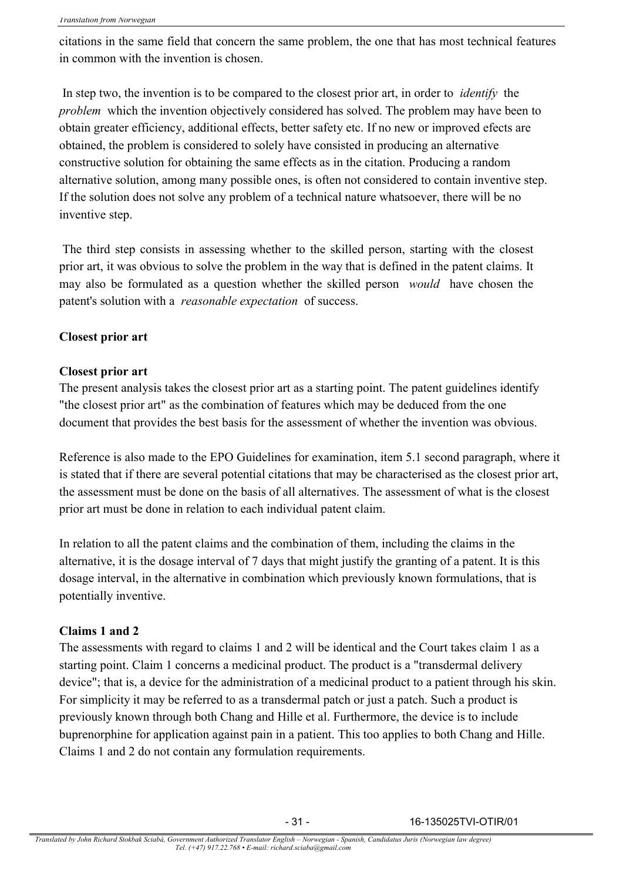citations in the same field that concern the same problem, the one that has most technical features in common with the invention is chosen.

In step two, the invention is to be compared to the closest prior art, in order to *identify* the *problem* which the invention objectively considered has solved. The problem may have been to obtain greater efficiency, additional effects, better safety etc. If no new or improved efects are obtained, the problem is considered to solely have consisted in producing an alternative constructive solution for obtaining the same effects as in the citation. Producing a random alternative solution, among many possible ones, is often not considered to contain inventive step. If the solution does not solve any problem of a technical nature whatsoever, there will be no inventive step.

The third step consists in assessing whether to the skilled person, starting with the closest prior art, it was obvious to solve the problem in the way that is defined in the patent claims. It may also be formulated as a question whether the skilled person *would* have chosen the patent's solution with a *reasonable expectation* of success.

### **Closest prior art**

### **Closest prior art**

The present analysis takes the closest prior art as a starting point. The patent guidelines identify "the closest prior art" as the combination of features which may be deduced from the one document that provides the best basis for the assessment of whether the invention was obvious.

Reference is also made to the EPO Guidelines for examination, item 5.1 second paragraph, where it is stated that if there are several potential citations that may be characterised as the closest prior art, the assessment must be done on the basis of all alternatives. The assessment of what is the closest prior art must be done in relation to each individual patent claim.

In relation to all the patent claims and the combination of them, including the claims in the alternative, it is the dosage interval of 7 days that might justify the granting of a patent. It is this dosage interval, in the alternative in combination which previously known formulations, that is potentially inventive.

### **Claims 1 and 2**

The assessments with regard to claims 1 and 2 will be identical and the Court takes claim 1 as a starting point. Claim 1 concerns a medicinal product. The product is a "transdermal delivery device"; that is, a device for the administration of a medicinal product to a patient through his skin. For simplicity it may be referred to as a transdermal patch or just a patch. Such a product is previously known through both Chang and Hille et al. Furthermore, the device is to include buprenorphine for application against pain in a patient. This too applies to both Chang and Hille. Claims 1 and 2 do not contain any formulation requirements.

- 31 - 16-135025TVI-OTIR/01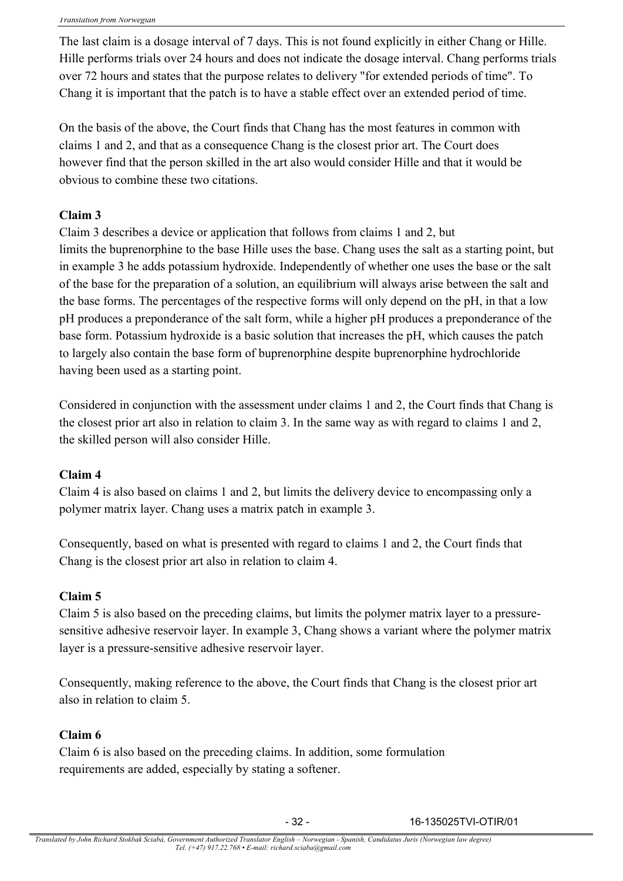The last claim is a dosage interval of 7 days. This is not found explicitly in either Chang or Hille. Hille performs trials over 24 hours and does not indicate the dosage interval. Chang performs trials over 72 hours and states that the purpose relates to delivery "for extended periods of time". To Chang it is important that the patch is to have a stable effect over an extended period of time.

On the basis of the above, the Court finds that Chang has the most features in common with claims 1 and 2, and that as a consequence Chang is the closest prior art. The Court does however find that the person skilled in the art also would consider Hille and that it would be obvious to combine these two citations.

# **Claim 3**

Claim 3 describes a device or application that follows from claims 1 and 2, but limits the buprenorphine to the base Hille uses the base. Chang uses the salt as a starting point, but in example 3 he adds potassium hydroxide. Independently of whether one uses the base or the salt of the base for the preparation of a solution, an equilibrium will always arise between the salt and the base forms. The percentages of the respective forms will only depend on the pH, in that a low pH produces a preponderance of the salt form, while a higher pH produces a preponderance of the base form. Potassium hydroxide is a basic solution that increases the pH, which causes the patch to largely also contain the base form of buprenorphine despite buprenorphine hydrochloride having been used as a starting point.

Considered in conjunction with the assessment under claims 1 and 2, the Court finds that Chang is the closest prior art also in relation to claim 3. In the same way as with regard to claims 1 and 2, the skilled person will also consider Hille.

# **Claim 4**

Claim 4 is also based on claims 1 and 2, but limits the delivery device to encompassing only a polymer matrix layer. Chang uses a matrix patch in example 3.

Consequently, based on what is presented with regard to claims 1 and 2, the Court finds that Chang is the closest prior art also in relation to claim 4.

# **Claim 5**

Claim 5 is also based on the preceding claims, but limits the polymer matrix layer to a pressuresensitive adhesive reservoir layer. In example 3, Chang shows a variant where the polymer matrix layer is a pressure-sensitive adhesive reservoir layer.

Consequently, making reference to the above, the Court finds that Chang is the closest prior art also in relation to claim 5.

### **Claim 6**

Claim 6 is also based on the preceding claims. In addition, some formulation requirements are added, especially by stating a softener.

- 32 - 16-135025TVI-OTIR/01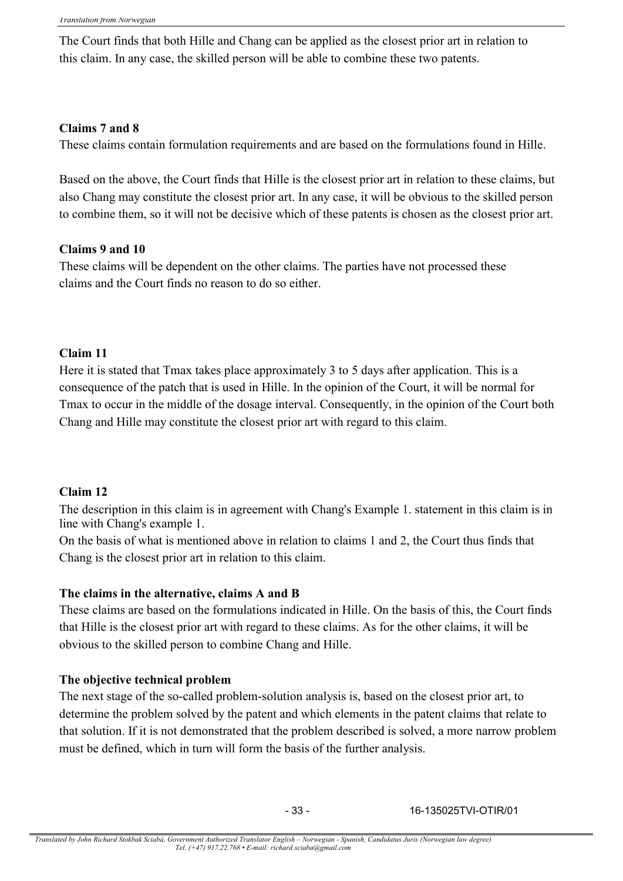The Court finds that both Hille and Chang can be applied as the closest prior art in relation to this claim. In any case, the skilled person will be able to combine these two patents.

### **Claims 7 and 8**

These claims contain formulation requirements and are based on the formulations found in Hille.

Based on the above, the Court finds that Hille is the closest prior art in relation to these claims, but also Chang may constitute the closest prior art. In any case, it will be obvious to the skilled person to combine them, so it will not be decisive which of these patents is chosen as the closest prior art.

### **Claims 9 and 10**

These claims will be dependent on the other claims. The parties have not processed these claims and the Court finds no reason to do so either.

### **Claim 11**

Here it is stated that Tmax takes place approximately 3 to 5 days after application. This is a consequence of the patch that is used in Hille. In the opinion of the Court, it will be normal for Tmax to occur in the middle of the dosage interval. Consequently, in the opinion of the Court both Chang and Hille may constitute the closest prior art with regard to this claim.

### **Claim 12**

The description in this claim is in agreement with Chang's Example 1. statement in this claim is in line with Chang's example 1.

On the basis of what is mentioned above in relation to claims 1 and 2, the Court thus finds that Chang is the closest prior art in relation to this claim.

### **The claims in the alternative, claims A and B**

These claims are based on the formulations indicated in Hille. On the basis of this, the Court finds that Hille is the closest prior art with regard to these claims. As for the other claims, it will be obvious to the skilled person to combine Chang and Hille.

### **The objective technical problem**

The next stage of the so-called problem-solution analysis is, based on the closest prior art, to determine the problem solved by the patent and which elements in the patent claims that relate to that solution. If it is not demonstrated that the problem described is solved, a more narrow problem must be defined, which in turn will form the basis of the further analysis.

- 33 - 16-135025TVI-OTIR/01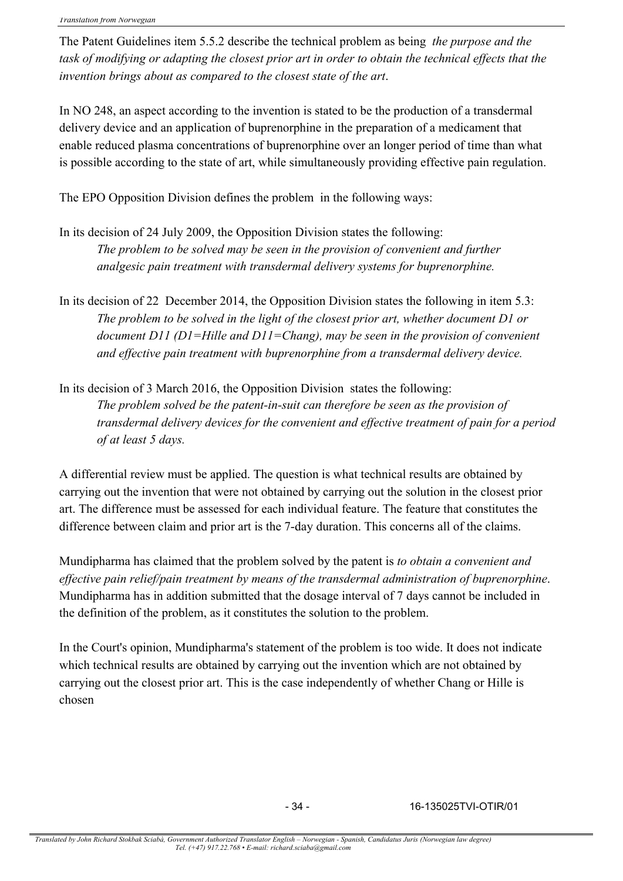The Patent Guidelines item 5.5.2 describe the technical problem as being *the purpose and the*  task of modifying or adapting the closest prior art in order to obtain the technical effects that the *invention brings about as compared to the closest state of the art*.

In NO 248, an aspect according to the invention is stated to be the production of a transdermal delivery device and an application of buprenorphine in the preparation of a medicament that enable reduced plasma concentrations of buprenorphine over an longer period of time than what is possible according to the state of art, while simultaneously providing effective pain regulation.

The EPO Opposition Division defines the problem in the following ways:

- In its decision of 24 July 2009, the Opposition Division states the following: *The problem to be solved may be seen in the provision of convenient and further analgesic pain treatment with transdermal delivery systems for buprenorphine.*
- In its decision of 22 December 2014, the Opposition Division states the following in item 5.3: *The problem to be solved in the light of the closest prior art, whether document D1 or document D11 (D1=Hille and D11=Chang), may be seen in the provision of convenient and effective pain treatment with buprenorphine from a transdermal delivery device.*
- In its decision of 3 March 2016, the Opposition Division states the following: *The problem solved be the patent-in-suit can therefore be seen as the provision of transdermal delivery devices for the convenient and effective treatment of pain for a period of at least 5 days.*

A differential review must be applied. The question is what technical results are obtained by carrying out the invention that were not obtained by carrying out the solution in the closest prior art. The difference must be assessed for each individual feature. The feature that constitutes the difference between claim and prior art is the 7-day duration. This concerns all of the claims.

Mundipharma has claimed that the problem solved by the patent is *to obtain a convenient and effective pain relief/pain treatment by means of the transdermal administration of buprenorphine*. Mundipharma has in addition submitted that the dosage interval of 7 days cannot be included in the definition of the problem, as it constitutes the solution to the problem.

In the Court's opinion, Mundipharma's statement of the problem is too wide. It does not indicate which technical results are obtained by carrying out the invention which are not obtained by carrying out the closest prior art. This is the case independently of whether Chang or Hille is chosen

- 34 - 16-135025TVI-OTIR/01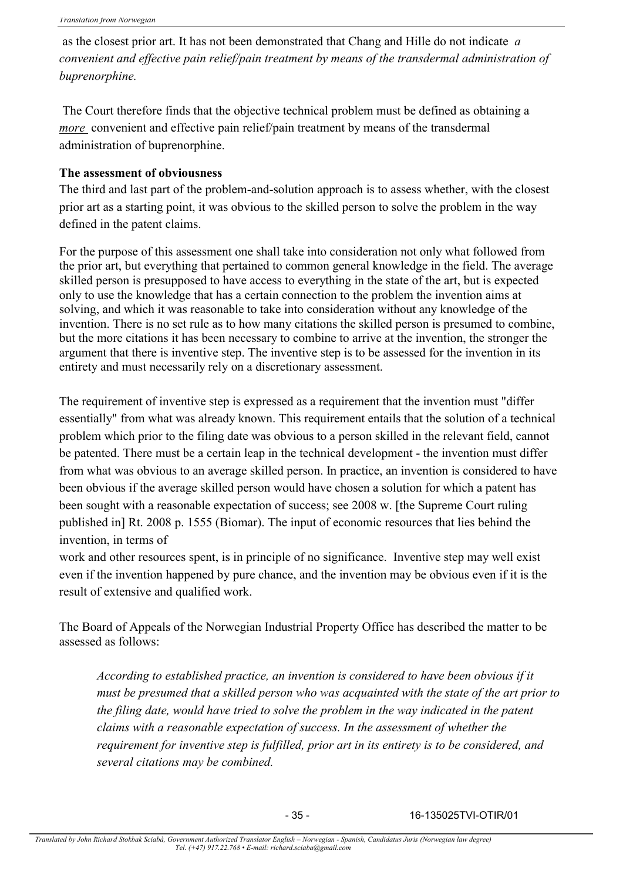as the closest prior art. It has not been demonstrated that Chang and Hille do not indicate *a convenient and effective pain relief/pain treatment by means of the transdermal administration of buprenorphine.*

The Court therefore finds that the objective technical problem must be defined as obtaining a *more* convenient and effective pain relief/pain treatment by means of the transdermal administration of buprenorphine.

### **The assessment of obviousness**

The third and last part of the problem-and-solution approach is to assess whether, with the closest prior art as a starting point, it was obvious to the skilled person to solve the problem in the way defined in the patent claims.

For the purpose of this assessment one shall take into consideration not only what followed from the prior art, but everything that pertained to common general knowledge in the field. The average skilled person is presupposed to have access to everything in the state of the art, but is expected only to use the knowledge that has a certain connection to the problem the invention aims at solving, and which it was reasonable to take into consideration without any knowledge of the invention. There is no set rule as to how many citations the skilled person is presumed to combine, but the more citations it has been necessary to combine to arrive at the invention, the stronger the argument that there is inventive step. The inventive step is to be assessed for the invention in its entirety and must necessarily rely on a discretionary assessment.

The requirement of inventive step is expressed as a requirement that the invention must "differ essentially" from what was already known. This requirement entails that the solution of a technical problem which prior to the filing date was obvious to a person skilled in the relevant field, cannot be patented. There must be a certain leap in the technical development - the invention must differ from what was obvious to an average skilled person. In practice, an invention is considered to have been obvious if the average skilled person would have chosen a solution for which a patent has been sought with a reasonable expectation of success; see 2008 w. [the Supreme Court ruling published in] Rt. 2008 p. 1555 (Biomar). The input of economic resources that lies behind the invention, in terms of

work and other resources spent, is in principle of no significance. Inventive step may well exist even if the invention happened by pure chance, and the invention may be obvious even if it is the result of extensive and qualified work.

The Board of Appeals of the Norwegian Industrial Property Office has described the matter to be assessed as follows:

*According to established practice, an invention is considered to have been obvious if it must be presumed that a skilled person who was acquainted with the state of the art prior to the filing date, would have tried to solve the problem in the way indicated in the patent claims with a reasonable expectation of success. In the assessment of whether the requirement for inventive step is fulfilled, prior art in its entirety is to be considered, and several citations may be combined.*

- 35 - 16-135025TVI-OTIR/01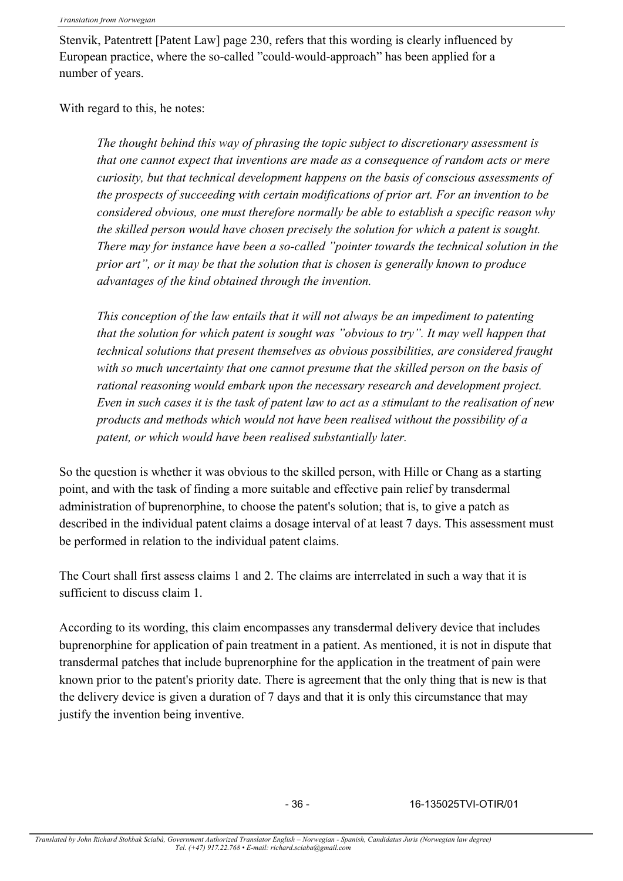Stenvik, Patentrett [Patent Law] page 230, refers that this wording is clearly influenced by European practice, where the so-called "could-would-approach" has been applied for a number of years.

With regard to this, he notes:

*The thought behind this way of phrasing the topic subject to discretionary assessment is that one cannot expect that inventions are made as a consequence of random acts or mere curiosity, but that technical development happens on the basis of conscious assessments of the prospects of succeeding with certain modifications of prior art. For an invention to be considered obvious, one must therefore normally be able to establish a specific reason why the skilled person would have chosen precisely the solution for which a patent is sought. There may for instance have been a so-called "pointer towards the technical solution in the prior art", or it may be that the solution that is chosen is generally known to produce advantages of the kind obtained through the invention.*

*This conception of the law entails that it will not always be an impediment to patenting that the solution for which patent is sought was "obvious to try". It may well happen that technical solutions that present themselves as obvious possibilities, are considered fraught with so much uncertainty that one cannot presume that the skilled person on the basis of rational reasoning would embark upon the necessary research and development project. Even in such cases it is the task of patent law to act as a stimulant to the realisation of new products and methods which would not have been realised without the possibility of a patent, or which would have been realised substantially later.*

So the question is whether it was obvious to the skilled person, with Hille or Chang as a starting point, and with the task of finding a more suitable and effective pain relief by transdermal administration of buprenorphine, to choose the patent's solution; that is, to give a patch as described in the individual patent claims a dosage interval of at least 7 days. This assessment must be performed in relation to the individual patent claims.

The Court shall first assess claims 1 and 2. The claims are interrelated in such a way that it is sufficient to discuss claim 1.

According to its wording, this claim encompasses any transdermal delivery device that includes buprenorphine for application of pain treatment in a patient. As mentioned, it is not in dispute that transdermal patches that include buprenorphine for the application in the treatment of pain were known prior to the patent's priority date. There is agreement that the only thing that is new is that the delivery device is given a duration of 7 days and that it is only this circumstance that may justify the invention being inventive.

- 36 - 16-135025TVI-OTIR/01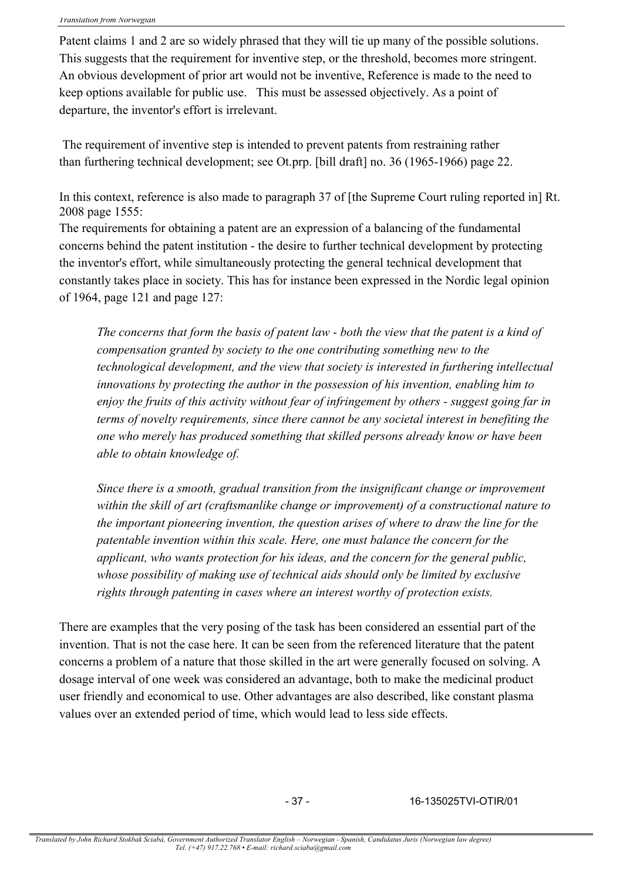Patent claims 1 and 2 are so widely phrased that they will tie up many of the possible solutions. This suggests that the requirement for inventive step, or the threshold, becomes more stringent. An obvious development of prior art would not be inventive, Reference is made to the need to keep options available for public use. This must be assessed objectively. As a point of departure, the inventor's effort is irrelevant.

The requirement of inventive step is intended to prevent patents from restraining rather than furthering technical development; see Ot.prp. [bill draft] no. 36 (1965-1966) page 22.

In this context, reference is also made to paragraph 37 of [the Supreme Court ruling reported in] Rt. 2008 page 1555:

The requirements for obtaining a patent are an expression of a balancing of the fundamental concerns behind the patent institution - the desire to further technical development by protecting the inventor's effort, while simultaneously protecting the general technical development that constantly takes place in society. This has for instance been expressed in the Nordic legal opinion of 1964, page 121 and page 127:

*The concerns that form the basis of patent law - both the view that the patent is a kind of compensation granted by society to the one contributing something new to the technological development, and the view that society is interested in furthering intellectual innovations by protecting the author in the possession of his invention, enabling him to enjoy the fruits of this activity without fear of infringement by others - suggest going far in terms of novelty requirements, since there cannot be any societal interest in benefiting the one who merely has produced something that skilled persons already know or have been able to obtain knowledge of.*

*Since there is a smooth, gradual transition from the insignificant change or improvement within the skill of art (craftsmanlike change or improvement) of a constructional nature to the important pioneering invention, the question arises of where to draw the line for the patentable invention within this scale. Here, one must balance the concern for the applicant, who wants protection for his ideas, and the concern for the general public, whose possibility of making use of technical aids should only be limited by exclusive rights through patenting in cases where an interest worthy of protection exists.*

There are examples that the very posing of the task has been considered an essential part of the invention. That is not the case here. It can be seen from the referenced literature that the patent concerns a problem of a nature that those skilled in the art were generally focused on solving. A dosage interval of one week was considered an advantage, both to make the medicinal product user friendly and economical to use. Other advantages are also described, like constant plasma values over an extended period of time, which would lead to less side effects.

- 37 - 16-135025TVI-OTIR/01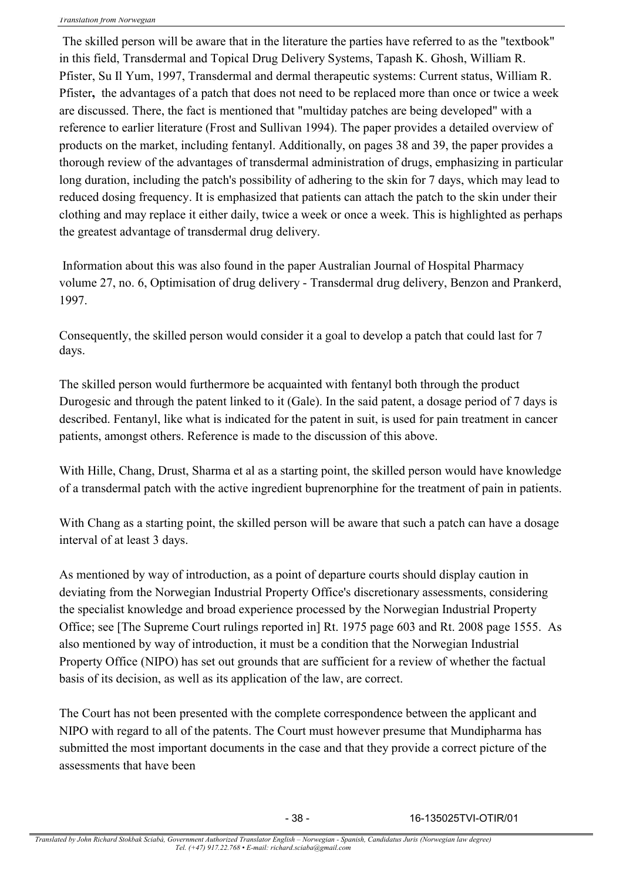The skilled person will be aware that in the literature the parties have referred to as the "textbook" in this field, Transdermal and Topical Drug Delivery Systems, Tapash K. Ghosh, William R. Pfister, Su Il Yum, 1997, Transdermal and dermal therapeutic systems: Current status, William R. Pfister**,** the advantages of a patch that does not need to be replaced more than once or twice a week are discussed. There, the fact is mentioned that "multiday patches are being developed" with a reference to earlier literature (Frost and Sullivan 1994). The paper provides a detailed overview of products on the market, including fentanyl. Additionally, on pages 38 and 39, the paper provides a thorough review of the advantages of transdermal administration of drugs, emphasizing in particular long duration, including the patch's possibility of adhering to the skin for 7 days, which may lead to reduced dosing frequency. It is emphasized that patients can attach the patch to the skin under their clothing and may replace it either daily, twice a week or once a week. This is highlighted as perhaps the greatest advantage of transdermal drug delivery.

Information about this was also found in the paper Australian Journal of Hospital Pharmacy volume 27, no. 6, Optimisation of drug delivery - Transdermal drug delivery, Benzon and Prankerd, 1997.

Consequently, the skilled person would consider it a goal to develop a patch that could last for 7 days.

The skilled person would furthermore be acquainted with fentanyl both through the product Durogesic and through the patent linked to it (Gale). In the said patent, a dosage period of 7 days is described. Fentanyl, like what is indicated for the patent in suit, is used for pain treatment in cancer patients, amongst others. Reference is made to the discussion of this above.

With Hille, Chang, Drust, Sharma et al as a starting point, the skilled person would have knowledge of a transdermal patch with the active ingredient buprenorphine for the treatment of pain in patients.

With Chang as a starting point, the skilled person will be aware that such a patch can have a dosage interval of at least 3 days.

As mentioned by way of introduction, as a point of departure courts should display caution in deviating from the Norwegian Industrial Property Office's discretionary assessments, considering the specialist knowledge and broad experience processed by the Norwegian Industrial Property Office; see [The Supreme Court rulings reported in] Rt. 1975 page 603 and Rt. 2008 page 1555. As also mentioned by way of introduction, it must be a condition that the Norwegian Industrial Property Office (NIPO) has set out grounds that are sufficient for a review of whether the factual basis of its decision, as well as its application of the law, are correct.

The Court has not been presented with the complete correspondence between the applicant and NIPO with regard to all of the patents. The Court must however presume that Mundipharma has submitted the most important documents in the case and that they provide a correct picture of the assessments that have been

- 38 - 16-135025TVI-OTIR/01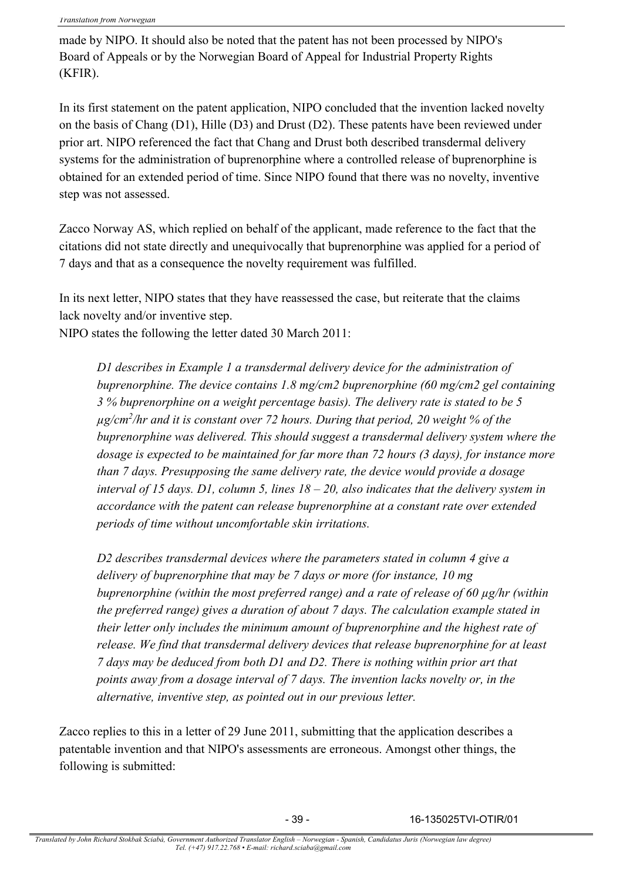made by NIPO. It should also be noted that the patent has not been processed by NIPO's Board of Appeals or by the Norwegian Board of Appeal for Industrial Property Rights (KFIR).

In its first statement on the patent application, NIPO concluded that the invention lacked novelty on the basis of Chang  $(D1)$ , Hille  $(D3)$  and Drust  $(D2)$ . These patents have been reviewed under prior art. NIPO referenced the fact that Chang and Drust both described transdermal delivery systems for the administration of buprenorphine where a controlled release of buprenorphine is obtained for an extended period of time. Since NIPO found that there was no novelty, inventive step was not assessed.

Zacco Norway AS, which replied on behalf of the applicant, made reference to the fact that the citations did not state directly and unequivocally that buprenorphine was applied for a period of 7 days and that as a consequence the novelty requirement was fulfilled.

In its next letter, NIPO states that they have reassessed the case, but reiterate that the claims lack novelty and/or inventive step.

NIPO states the following the letter dated 30 March 2011:

*D1 describes in Example 1 a transdermal delivery device for the administration of buprenorphine. The device contains 1.8 mg/cm2 buprenorphine (60 mg/cm2 gel containing 3 % buprenorphine on a weight percentage basis). The delivery rate is stated to be 5 µg/cm<sup>2</sup> /hr and it is constant over 72 hours. During that period, 20 weight % of the buprenorphine was delivered. This should suggest a transdermal delivery system where the dosage is expected to be maintained for far more than 72 hours (3 days), for instance more than 7 days. Presupposing the same delivery rate, the device would provide a dosage interval of 15 days. D1, column 5, lines 18 – 20, also indicates that the delivery system in accordance with the patent can release buprenorphine at a constant rate over extended periods of time without uncomfortable skin irritations.*

*D2 describes transdermal devices where the parameters stated in column 4 give a delivery of buprenorphine that may be 7 days or more (for instance, 10 mg buprenorphine (within the most preferred range) and a rate of release of 60 µg/hr (within the preferred range) gives a duration of about 7 days. The calculation example stated in their letter only includes the minimum amount of buprenorphine and the highest rate of release. We find that transdermal delivery devices that release buprenorphine for at least 7 days may be deduced from both D1 and D2. There is nothing within prior art that points away from a dosage interval of 7 days. The invention lacks novelty or, in the alternative, inventive step, as pointed out in our previous letter.*

Zacco replies to this in a letter of 29 June 2011, submitting that the application describes a patentable invention and that NIPO's assessments are erroneous. Amongst other things, the following is submitted:

- 39 - 16-135025TVI-OTIR/01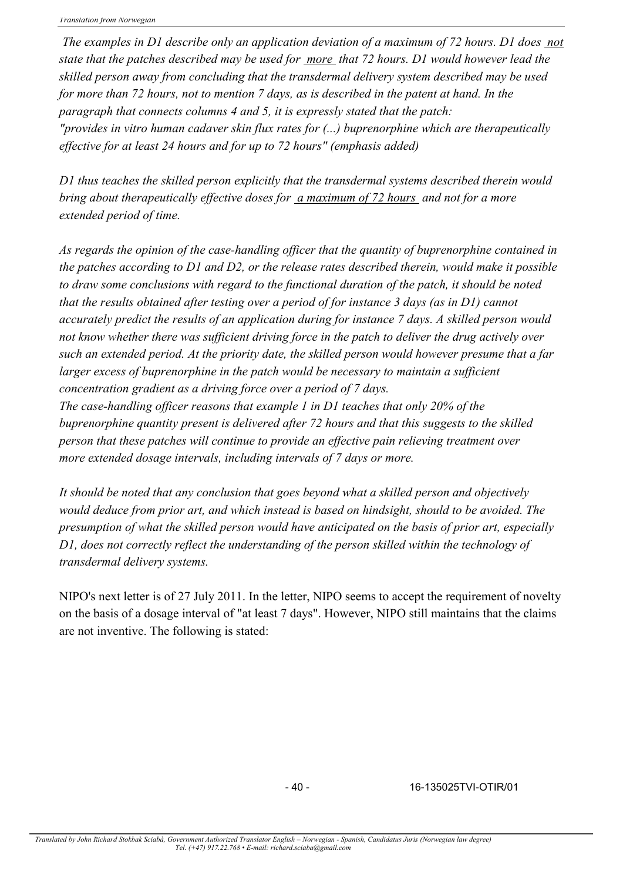*The examples in D1 describe only an application deviation of a maximum of 72 hours. D1 does not state that the patches described may be used for more that 72 hours. D1 would however lead the skilled person away from concluding that the transdermal delivery system described may be used for more than 72 hours, not to mention 7 days, as is described in the patent at hand. In the paragraph that connects columns 4 and 5, it is expressly stated that the patch: "provides in vitro human cadaver skin flux rates for (...) buprenorphine which are therapeutically effective for at least 24 hours and for up to 72 hours" (emphasis added)*

*D1 thus teaches the skilled person explicitly that the transdermal systems described therein would bring about therapeutically effective doses for a maximum of 72 hours and not for a more extended period of time.*

*As regards the opinion of the case-handling officer that the quantity of buprenorphine contained in the patches according to D1 and D2, or the release rates described therein, would make it possible to draw some conclusions with regard to the functional duration of the patch, it should be noted that the results obtained after testing over a period of for instance 3 days (as in D1) cannot accurately predict the results of an application during for instance 7 days. A skilled person would not know whether there was sufficient driving force in the patch to deliver the drug actively over such an extended period. At the priority date, the skilled person would however presume that a far larger excess of buprenorphine in the patch would be necessary to maintain a sufficient concentration gradient as a driving force over a period of 7 days.*

*The case-handling officer reasons that example 1 in D1 teaches that only 20% of the buprenorphine quantity present is delivered after 72 hours and that this suggests to the skilled person that these patches will continue to provide an effective pain relieving treatment over more extended dosage intervals, including intervals of 7 days or more.*

*It should be noted that any conclusion that goes beyond what a skilled person and objectively would deduce from prior art, and which instead is based on hindsight, should to be avoided. The presumption of what the skilled person would have anticipated on the basis of prior art, especially D1, does not correctly reflect the understanding of the person skilled within the technology of transdermal delivery systems.*

NIPO's next letter is of 27 July 2011. In the letter, NIPO seems to accept the requirement of novelty on the basis of a dosage interval of "at least 7 days". However, NIPO still maintains that the claims are not inventive. The following is stated:

- 40 - 16-135025TVI-OTIR/01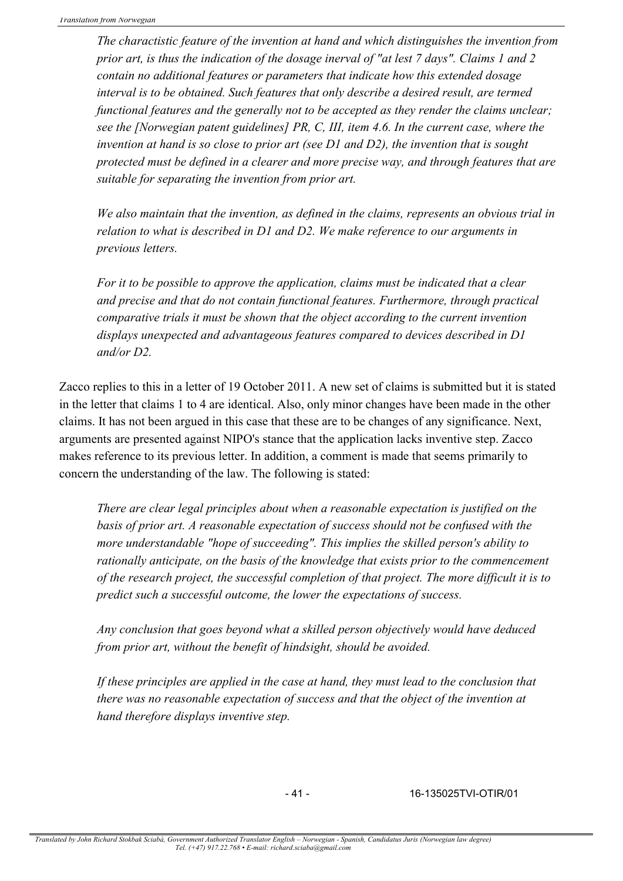*The charactistic feature of the invention at hand and which distinguishes the invention from prior art, is thus the indication of the dosage inerval of "at lest 7 days". Claims 1 and 2 contain no additional features or parameters that indicate how this extended dosage interval is to be obtained. Such features that only describe a desired result, are termed functional features and the generally not to be accepted as they render the claims unclear; see the [Norwegian patent guidelines] PR, C, III, item 4.6. In the current case, where the invention at hand is so close to prior art (see D1 and D2), the invention that is sought protected must be defined in a clearer and more precise way, and through features that are suitable for separating the invention from prior art.*

*We also maintain that the invention, as defined in the claims, represents an obvious trial in relation to what is described in D1 and D2. We make reference to our arguments in previous letters.*

*For it to be possible to approve the application, claims must be indicated that a clear and precise and that do not contain functional features. Furthermore, through practical comparative trials it must be shown that the object according to the current invention displays unexpected and advantageous features compared to devices described in D1 and/or D2.*

Zacco replies to this in a letter of 19 October 2011. A new set of claims is submitted but it is stated in the letter that claims 1 to 4 are identical. Also, only minor changes have been made in the other claims. It has not been argued in this case that these are to be changes of any significance. Next, arguments are presented against NIPO's stance that the application lacks inventive step. Zacco makes reference to its previous letter. In addition, a comment is made that seems primarily to concern the understanding of the law. The following is stated:

*There are clear legal principles about when a reasonable expectation is justified on the basis of prior art. A reasonable expectation of success should not be confused with the more understandable "hope of succeeding". This implies the skilled person's ability to rationally anticipate, on the basis of the knowledge that exists prior to the commencement of the research project, the successful completion of that project. The more difficult it is to predict such a successful outcome, the lower the expectations of success.*

*Any conclusion that goes beyond what a skilled person objectively would have deduced from prior art, without the benefit of hindsight, should be avoided.*

*If these principles are applied in the case at hand, they must lead to the conclusion that there was no reasonable expectation of success and that the object of the invention at hand therefore displays inventive step.*

- 41 - 16-135025TVI-OTIR/01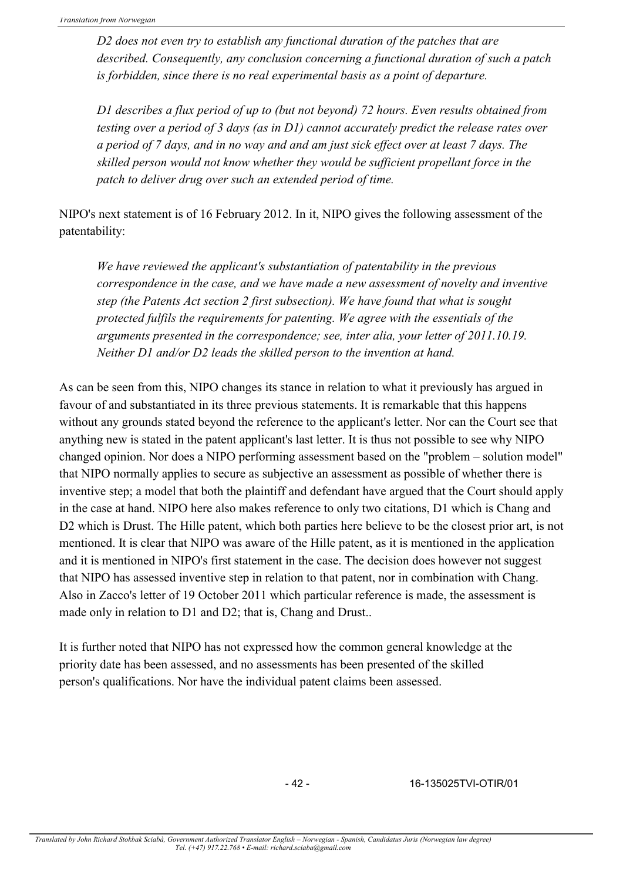*D2 does not even try to establish any functional duration of the patches that are described. Consequently, any conclusion concerning a functional duration of such a patch is forbidden, since there is no real experimental basis as a point of departure.*

*D1 describes a flux period of up to (but not beyond) 72 hours. Even results obtained from testing over a period of 3 days (as in D1) cannot accurately predict the release rates over a period of 7 days, and in no way and and am just sick effect over at least 7 days. The skilled person would not know whether they would be sufficient propellant force in the patch to deliver drug over such an extended period of time.*

NIPO's next statement is of 16 February 2012. In it, NIPO gives the following assessment of the patentability:

*We have reviewed the applicant's substantiation of patentability in the previous correspondence in the case, and we have made a new assessment of novelty and inventive step (the Patents Act section 2 first subsection). We have found that what is sought protected fulfils the requirements for patenting. We agree with the essentials of the arguments presented in the correspondence; see, inter alia, your letter of 2011.10.19. Neither D1 and/or D2 leads the skilled person to the invention at hand.*

As can be seen from this, NIPO changes its stance in relation to what it previously has argued in favour of and substantiated in its three previous statements. It is remarkable that this happens without any grounds stated beyond the reference to the applicant's letter. Nor can the Court see that anything new is stated in the patent applicant's last letter. It is thus not possible to see why NIPO changed opinion. Nor does a NIPO performing assessment based on the "problem – solution model" that NIPO normally applies to secure as subjective an assessment as possible of whether there is inventive step; a model that both the plaintiff and defendant have argued that the Court should apply in the case at hand. NIPO here also makes reference to only two citations, D1 which is Chang and D2 which is Drust. The Hille patent, which both parties here believe to be the closest prior art, is not mentioned. It is clear that NIPO was aware of the Hille patent, as it is mentioned in the application and it is mentioned in NIPO's first statement in the case. The decision does however not suggest that NIPO has assessed inventive step in relation to that patent, nor in combination with Chang. Also in Zacco's letter of 19 October 2011 which particular reference is made, the assessment is made only in relation to D1 and D2; that is, Chang and Drust..

It is further noted that NIPO has not expressed how the common general knowledge at the priority date has been assessed, and no assessments has been presented of the skilled person's qualifications. Nor have the individual patent claims been assessed.

- 42 - 16-135025TVI-OTIR/01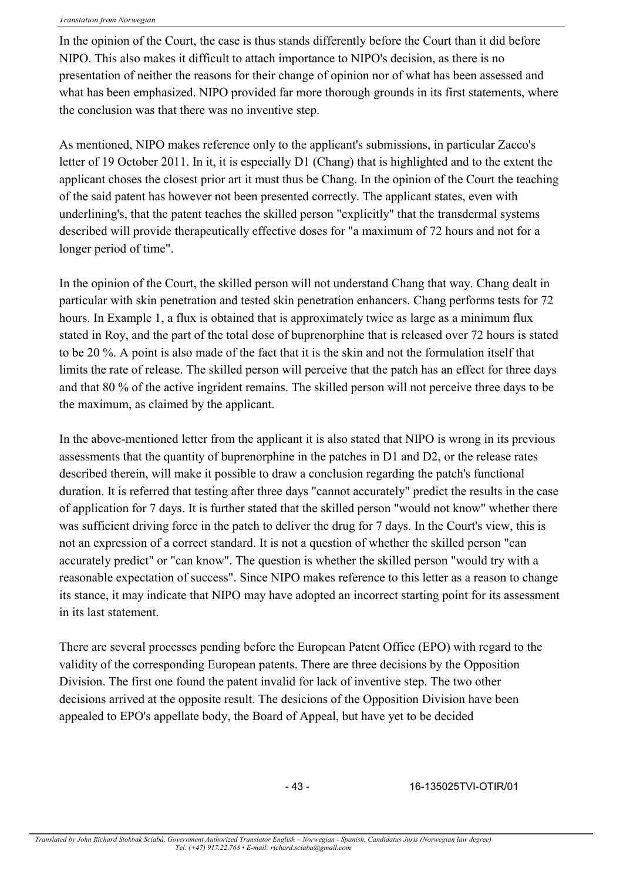In the opinion of the Court, the case is thus stands differently before the Court than it did before NIPO. This also makes it difficult to attach importance to NIPO's decision, as there is no presentation of neither the reasons for their change of opinion nor of what has been assessed and what has been emphasized. NIPO provided far more thorough grounds in its first statements, where the conclusion was that there was no inventive step.

As mentioned, NIPO makes reference only to the applicant's submissions, in particular Zacco's letter of 19 October 2011. In it, it is especially D1 (Chang) that is highlighted and to the extent the applicant choses the closest prior art it must thus be Chang. In the opinion of the Court the teaching of the said patent has however not been presented correctly. The applicant states, even with underlining's, that the patent teaches the skilled person "explicitly" that the transdermal systems described will provide therapeutically effective doses for "a maximum of 72 hours and not for a longer period of time".

In the opinion of the Court, the skilled person will not understand Chang that way. Chang dealt in particular with skin penetration and tested skin penetration enhancers. Chang performs tests for 72 hours. In Example 1, a flux is obtained that is approximately twice as large as a minimum flux stated in Roy, and the part of the total dose of buprenorphine that is released over 72 hours is stated to be 20 %. A point is also made of the fact that it is the skin and not the formulation itself that limits the rate of release. The skilled person will perceive that the patch has an effect for three days and that 80 % of the active ingrident remains. The skilled person will not perceive three days to be the maximum, as claimed by the applicant.

In the above-mentioned letter from the applicant it is also stated that NIPO is wrong in its previous assessments that the quantity of buprenorphine in the patches in D1 and D2, or the release rates described therein, will make it possible to draw a conclusion regarding the patch's functional duration. It is referred that testing after three days "cannot accurately" predict the results in the case of application for 7 days. It is further stated that the skilled person "would not know" whether there was sufficient driving force in the patch to deliver the drug for 7 days. In the Court's view, this is not an expression of a correct standard. It is not a question of whether the skilled person "can accurately predict" or "can know". The question is whether the skilled person "would try with a reasonable expectation of success". Since NIPO makes reference to this letter as a reason to change its stance, it may indicate that NIPO may have adopted an incorrect starting point for its assessment in its last statement.

There are several processes pending before the European Patent Office (EPO) with regard to the validity of the corresponding European patents. There are three decisions by the Opposition Division. The first one found the patent invalid for lack of inventive step. The two other decisions arrived at the opposite result. The desicions of the Opposition Division have been appealed to EPO's appellate body, the Board of Appeal, but have yet to be decided

- 43 - 16-135025TVI-OTIR/01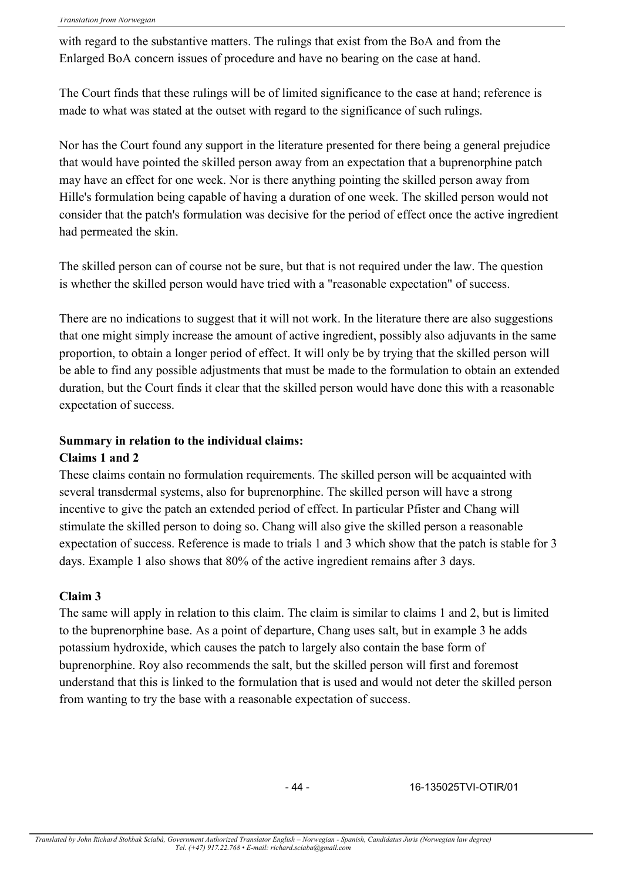with regard to the substantive matters. The rulings that exist from the BoA and from the Enlarged BoA concern issues of procedure and have no bearing on the case at hand.

The Court finds that these rulings will be of limited significance to the case at hand; reference is made to what was stated at the outset with regard to the significance of such rulings.

Nor has the Court found any support in the literature presented for there being a general prejudice that would have pointed the skilled person away from an expectation that a buprenorphine patch may have an effect for one week. Nor is there anything pointing the skilled person away from Hille's formulation being capable of having a duration of one week. The skilled person would not consider that the patch's formulation was decisive for the period of effect once the active ingredient had permeated the skin.

The skilled person can of course not be sure, but that is not required under the law. The question is whether the skilled person would have tried with a "reasonable expectation" of success.

There are no indications to suggest that it will not work. In the literature there are also suggestions that one might simply increase the amount of active ingredient, possibly also adjuvants in the same proportion, to obtain a longer period of effect. It will only be by trying that the skilled person will be able to find any possible adjustments that must be made to the formulation to obtain an extended duration, but the Court finds it clear that the skilled person would have done this with a reasonable expectation of success.

### **Summary in relation to the individual claims:**

### **Claims 1 and 2**

These claims contain no formulation requirements. The skilled person will be acquainted with several transdermal systems, also for buprenorphine. The skilled person will have a strong incentive to give the patch an extended period of effect. In particular Pfister and Chang will stimulate the skilled person to doing so. Chang will also give the skilled person a reasonable expectation of success. Reference is made to trials 1 and 3 which show that the patch is stable for 3 days. Example 1 also shows that 80% of the active ingredient remains after 3 days.

### **Claim 3**

The same will apply in relation to this claim. The claim is similar to claims 1 and 2, but is limited to the buprenorphine base. As a point of departure, Chang uses salt, but in example 3 he adds potassium hydroxide, which causes the patch to largely also contain the base form of buprenorphine. Roy also recommends the salt, but the skilled person will first and foremost understand that this is linked to the formulation that is used and would not deter the skilled person from wanting to try the base with a reasonable expectation of success.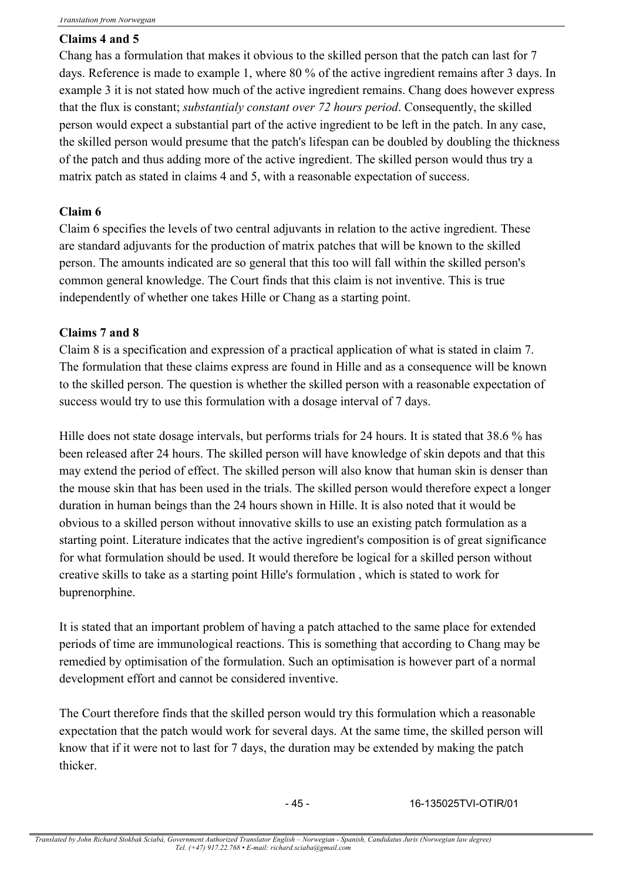## **Claims 4 and 5**

Chang has a formulation that makes it obvious to the skilled person that the patch can last for 7 days. Reference is made to example 1, where 80 % of the active ingredient remains after 3 days. In example 3 it is not stated how much of the active ingredient remains. Chang does however express that the flux is constant; *substantialy constant over 72 hours period*. Consequently, the skilled person would expect a substantial part of the active ingredient to be left in the patch. In any case, the skilled person would presume that the patch's lifespan can be doubled by doubling the thickness of the patch and thus adding more of the active ingredient. The skilled person would thus try a matrix patch as stated in claims 4 and 5, with a reasonable expectation of success.

# **Claim 6**

Claim 6 specifies the levels of two central adjuvants in relation to the active ingredient. These are standard adjuvants for the production of matrix patches that will be known to the skilled person. The amounts indicated are so general that this too will fall within the skilled person's common general knowledge. The Court finds that this claim is not inventive. This is true independently of whether one takes Hille or Chang as a starting point.

### **Claims 7 and 8**

Claim 8 is a specification and expression of a practical application of what is stated in claim 7. The formulation that these claims express are found in Hille and as a consequence will be known to the skilled person. The question is whether the skilled person with a reasonable expectation of success would try to use this formulation with a dosage interval of 7 days.

Hille does not state dosage intervals, but performs trials for 24 hours. It is stated that 38.6 % has been released after 24 hours. The skilled person will have knowledge of skin depots and that this may extend the period of effect. The skilled person will also know that human skin is denser than the mouse skin that has been used in the trials. The skilled person would therefore expect a longer duration in human beings than the 24 hours shown in Hille. It is also noted that it would be obvious to a skilled person without innovative skills to use an existing patch formulation as a starting point. Literature indicates that the active ingredient's composition is of great significance for what formulation should be used. It would therefore be logical for a skilled person without creative skills to take as a starting point Hille's formulation , which is stated to work for buprenorphine.

It is stated that an important problem of having a patch attached to the same place for extended periods of time are immunological reactions. This is something that according to Chang may be remedied by optimisation of the formulation. Such an optimisation is however part of a normal development effort and cannot be considered inventive.

The Court therefore finds that the skilled person would try this formulation which a reasonable expectation that the patch would work for several days. At the same time, the skilled person will know that if it were not to last for 7 days, the duration may be extended by making the patch thicker.

- 45 - 16-135025TVI-OTIR/01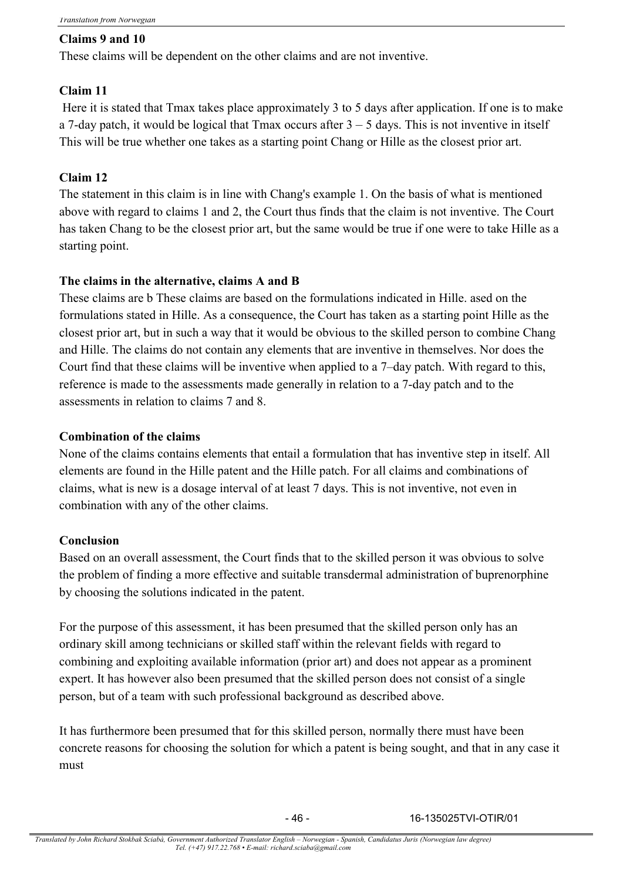## **Claims 9 and 10**

These claims will be dependent on the other claims and are not inventive.

# **Claim 11**

Here it is stated that Tmax takes place approximately 3 to 5 days after application. If one is to make a 7-day patch, it would be logical that Tmax occurs after  $3 - 5$  days. This is not inventive in itself This will be true whether one takes as a starting point Chang or Hille as the closest prior art.

# **Claim 12**

The statement in this claim is in line with Chang's example 1. On the basis of what is mentioned above with regard to claims 1 and 2, the Court thus finds that the claim is not inventive. The Court has taken Chang to be the closest prior art, but the same would be true if one were to take Hille as a starting point.

# **The claims in the alternative, claims A and B**

These claims are b These claims are based on the formulations indicated in Hille. ased on the formulations stated in Hille. As a consequence, the Court has taken as a starting point Hille as the closest prior art, but in such a way that it would be obvious to the skilled person to combine Chang and Hille. The claims do not contain any elements that are inventive in themselves. Nor does the Court find that these claims will be inventive when applied to a 7–day patch. With regard to this, reference is made to the assessments made generally in relation to a 7-day patch and to the assessments in relation to claims 7 and 8.

## **Combination of the claims**

None of the claims contains elements that entail a formulation that has inventive step in itself. All elements are found in the Hille patent and the Hille patch. For all claims and combinations of claims, what is new is a dosage interval of at least 7 days. This is not inventive, not even in combination with any of the other claims.

### **Conclusion**

Based on an overall assessment, the Court finds that to the skilled person it was obvious to solve the problem of finding a more effective and suitable transdermal administration of buprenorphine by choosing the solutions indicated in the patent.

For the purpose of this assessment, it has been presumed that the skilled person only has an ordinary skill among technicians or skilled staff within the relevant fields with regard to combining and exploiting available information (prior art) and does not appear as a prominent expert. It has however also been presumed that the skilled person does not consist of a single person, but of a team with such professional background as described above.

It has furthermore been presumed that for this skilled person, normally there must have been concrete reasons for choosing the solution for which a patent is being sought, and that in any case it must

- 46 - 16-135025TVI-OTIR/01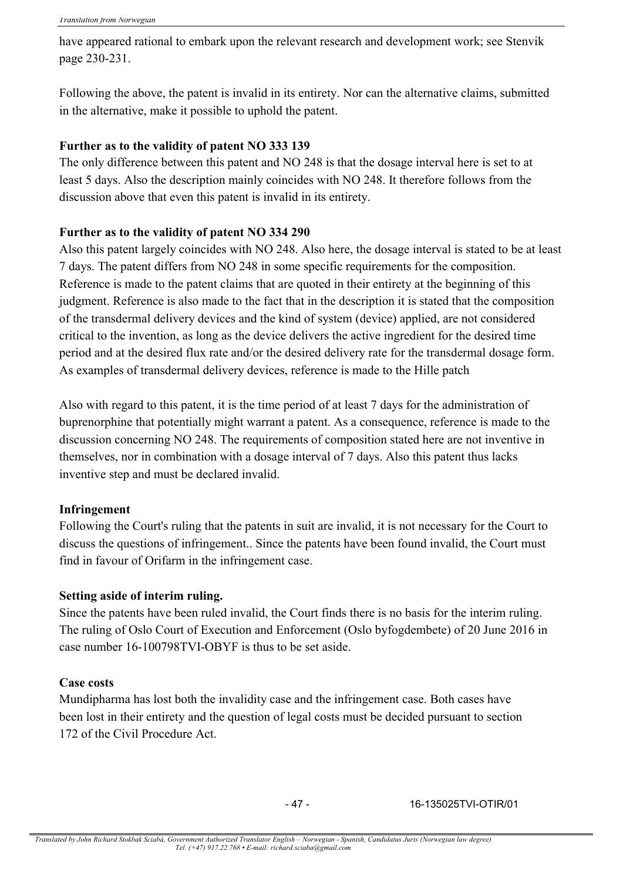have appeared rational to embark upon the relevant research and development work; see Stenvik page 230-231.

Following the above, the patent is invalid in its entirety. Nor can the alternative claims, submitted in the alternative, make it possible to uphold the patent.

### **Further as to the validity of patent NO 333 139**

The only difference between this patent and NO 248 is that the dosage interval here is set to at least 5 days. Also the description mainly coincides with NO 248. It therefore follows from the discussion above that even this patent is invalid in its entirety.

### **Further as to the validity of patent NO 334 290**

Also this patent largely coincides with NO 248. Also here, the dosage interval is stated to be at least 7 days. The patent differs from NO 248 in some specific requirements for the composition. Reference is made to the patent claims that are quoted in their entirety at the beginning of this judgment. Reference is also made to the fact that in the description it is stated that the composition of the transdermal delivery devices and the kind of system (device) applied, are not considered critical to the invention, as long as the device delivers the active ingredient for the desired time period and at the desired flux rate and/or the desired delivery rate for the transdermal dosage form. As examples of transdermal delivery devices, reference is made to the Hille patch

Also with regard to this patent, it is the time period of at least 7 days for the administration of buprenorphine that potentially might warrant a patent. As a consequence, reference is made to the discussion concerning NO 248. The requirements of composition stated here are not inventive in themselves, nor in combination with a dosage interval of 7 days. Also this patent thus lacks inventive step and must be declared invalid.

### **Infringement**

Following the Court's ruling that the patents in suit are invalid, it is not necessary for the Court to discuss the questions of infringement.. Since the patents have been found invalid, the Court must find in favour of Orifarm in the infringement case.

### **Setting aside of interim ruling.**

Since the patents have been ruled invalid, the Court finds there is no basis for the interim ruling. The ruling of Oslo Court of Execution and Enforcement (Oslo byfogdembete) of 20 June 2016 in case number 16-100798TVI-OBYF is thus to be set aside.

### **Case costs**

Mundipharma has lost both the invalidity case and the infringement case. Both cases have been lost in their entirety and the question of legal costs must be decided pursuant to section 172 of the Civil Procedure Act.

- 47 - 16-135025TVI-OTIR/01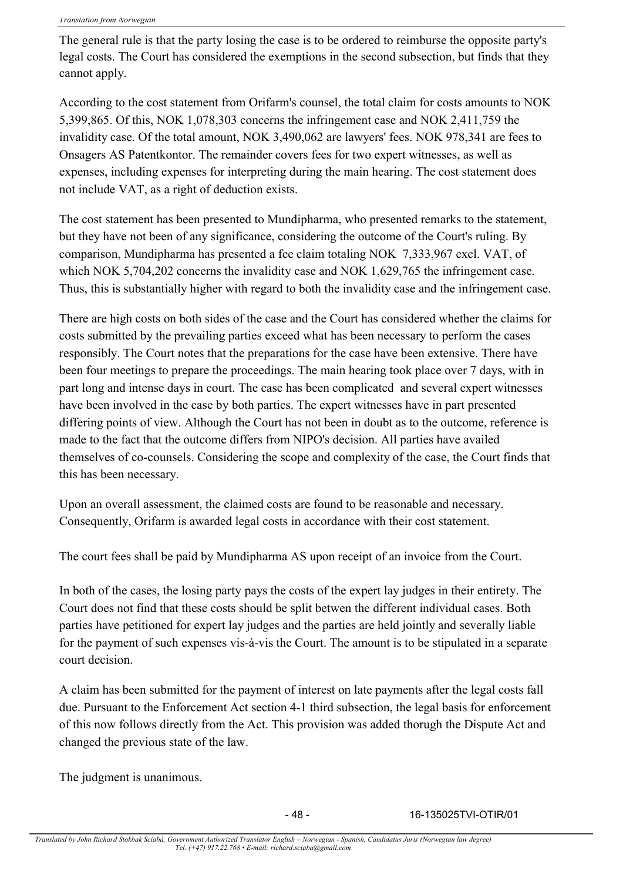The general rule is that the party losing the case is to be ordered to reimburse the opposite party's legal costs. The Court has considered the exemptions in the second subsection, but finds that they cannot apply.

According to the cost statement from Orifarm's counsel, the total claim for costs amounts to NOK 5,399,865. Of this, NOK 1,078,303 concerns the infringement case and NOK 2,411,759 the invalidity case. Of the total amount, NOK 3,490,062 are lawyers' fees. NOK 978,341 are fees to Onsagers AS Patentkontor. The remainder covers fees for two expert witnesses, as well as expenses, including expenses for interpreting during the main hearing. The cost statement does not include VAT, as a right of deduction exists.

The cost statement has been presented to Mundipharma, who presented remarks to the statement, but they have not been of any significance, considering the outcome of the Court's ruling. By comparison, Mundipharma has presented a fee claim totaling NOK 7,333,967 excl. VAT, of which NOK 5,704,202 concerns the invalidity case and NOK 1,629,765 the infringement case. Thus, this is substantially higher with regard to both the invalidity case and the infringement case.

There are high costs on both sides of the case and the Court has considered whether the claims for costs submitted by the prevailing parties exceed what has been necessary to perform the cases responsibly. The Court notes that the preparations for the case have been extensive. There have been four meetings to prepare the proceedings. The main hearing took place over 7 days, with in part long and intense days in court. The case has been complicated and several expert witnesses have been involved in the case by both parties. The expert witnesses have in part presented differing points of view. Although the Court has not been in doubt as to the outcome, reference is made to the fact that the outcome differs from NIPO's decision. All parties have availed themselves of co-counsels. Considering the scope and complexity of the case, the Court finds that this has been necessary.

Upon an overall assessment, the claimed costs are found to be reasonable and necessary. Consequently, Orifarm is awarded legal costs in accordance with their cost statement.

The court fees shall be paid by Mundipharma AS upon receipt of an invoice from the Court.

In both of the cases, the losing party pays the costs of the expert lay judges in their entirety. The Court does not find that these costs should be split betwen the different individual cases. Both parties have petitioned for expert lay judges and the parties are held jointly and severally liable for the payment of such expenses vis-à-vis the Court. The amount is to be stipulated in a separate court decision.

A claim has been submitted for the payment of interest on late payments after the legal costs fall due. Pursuant to the Enforcement Act section 4-1 third subsection, the legal basis for enforcement of this now follows directly from the Act. This provision was added thorugh the Dispute Act and changed the previous state of the law.

The judgment is unanimous.

- 48 - 16-135025TVI-OTIR/01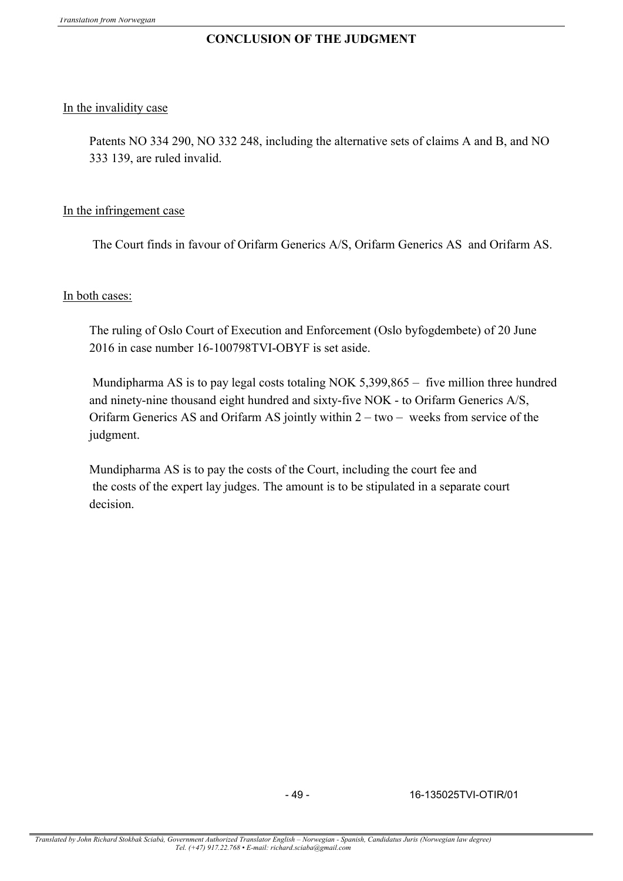## **CONCLUSION OF THE JUDGMENT**

### In the invalidity case

Patents NO 334 290, NO 332 248, including the alternative sets of claims A and B, and NO 333 139, are ruled invalid.

### In the infringement case

The Court finds in favour of Orifarm Generics A/S, Orifarm Generics AS and Orifarm AS.

### In both cases:

The ruling of Oslo Court of Execution and Enforcement (Oslo byfogdembete) of 20 June 2016 in case number 16-100798TVI-OBYF is set aside.

Mundipharma AS is to pay legal costs totaling NOK 5,399,865 – five million three hundred and ninety-nine thousand eight hundred and sixty-five NOK - to Orifarm Generics A/S, Orifarm Generics AS and Orifarm AS jointly within 2 – two – weeks from service of the judgment.

Mundipharma AS is to pay the costs of the Court, including the court fee and the costs of the expert lay judges. The amount is to be stipulated in a separate court decision.

- 49 - 16-135025TVI-OTIR/01